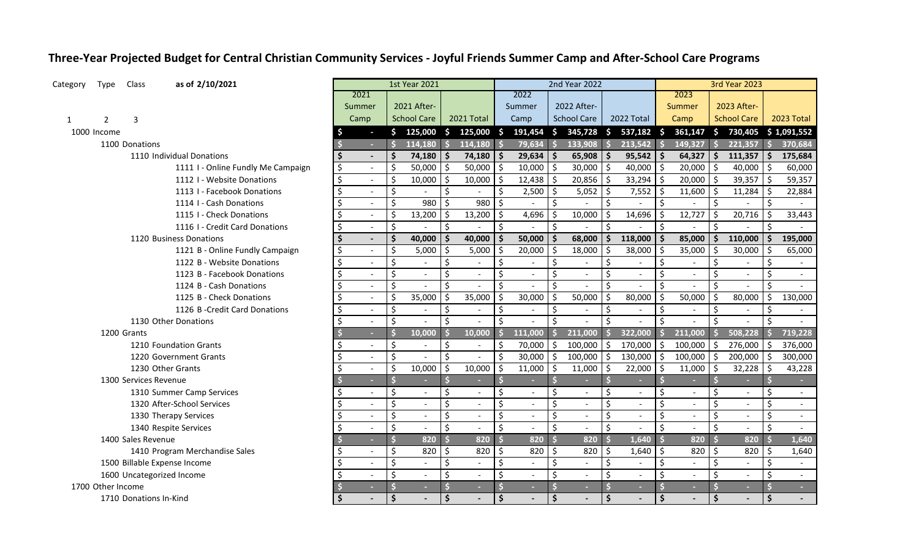## **Three-Year Projected Budget for Central Christian Community Services - Joyful Friends Summer Camp and After-School Care Programs**

| Category | Type              | Class                  | as of 2/10/2021                    |               |                          |                     | 1st Year 2021            |               |                            |                    |              |                     | 2nd Year 2022            |                      |            |                     |         |                    | 3rd Year 2023            |                     |                          |
|----------|-------------------|------------------------|------------------------------------|---------------|--------------------------|---------------------|--------------------------|---------------|----------------------------|--------------------|--------------|---------------------|--------------------------|----------------------|------------|---------------------|---------|--------------------|--------------------------|---------------------|--------------------------|
|          |                   |                        |                                    | 2021          |                          |                     |                          |               |                            |                    | 2022         |                     |                          |                      |            |                     | 2023    |                    |                          |                     |                          |
|          |                   |                        |                                    | Summer        |                          |                     | 2021 After-              |               |                            |                    | Summer       |                     | 2022 After-              |                      |            |                     | Summer  |                    | 2023 After-              |                     |                          |
| 1        | $\overline{2}$    | 3                      |                                    | Camp          |                          |                     | <b>School Care</b>       |               | 2021 Total                 |                    | Camp         |                     | <b>School Care</b>       |                      | 2022 Total |                     | Camp    |                    | <b>School Care</b>       |                     | 2023 Total               |
|          | 1000 Income       |                        |                                    |               | $\sim$                   |                     |                          |               | $$125,000 \t$ 125,000 \t$$ |                    | $191,454$ \$ |                     | $345,728$ \$ 537,182 \$  |                      |            |                     | 361,147 | $\mathsf{S}$       | 730,405                  |                     | \$1,091,552              |
|          |                   | 1100 Donations         |                                    |               | ×.                       |                     | 114,180                  | Ŝ.            | 114,180                    | $\dot{\mathsf{s}}$ | 79,634       | $\mathsf{s}$        | 133,908                  | $\mathsf{s}$         | 213,542    |                     | 149,327 | $\mathsf{S}$       | 221,357                  | $\mathsf{\$}$       | 370,684                  |
|          |                   |                        | 1110 Individual Donations          |               |                          | \$                  | 74,180                   | -Ś            | 74,180                     | Ŝ.                 | 29,634       | Ŝ.                  | $65,908$   \$            |                      | 95,542     | -Ś                  | 64,327  | Ŝ.                 | 111,357                  | Ŝ.                  | 175,684                  |
|          |                   |                        | 1111 I - Online Fundly Me Campaign | \$            | $\overline{\phantom{a}}$ | $\zeta$             | 50,000                   | Ŝ.            | 50,000                     | \$                 | 10,000       | \$                  | $30,000$ \$              |                      | 40,000     | $\zeta$             | 20,000  | Ŝ.                 | 40,000                   | \$                  | 60,000                   |
|          |                   |                        | 1112 I - Website Donations         | \$            | $\sim$                   | \$                  | 10,000                   | \$            | 10,000                     | \$                 | 12,438       | \$                  | $20,856$ \$              |                      | 33,294     |                     | 20,000  | \$                 | 39,357                   | $\ddot{\mathsf{S}}$ | 59,357                   |
|          |                   |                        | 1113 I - Facebook Donations        | \$            | $\sim$                   | \$                  |                          | $\zeta$       |                            | \$                 | 2,500        | \$                  | $5,052$ \$               |                      | 7,552      | -S                  | 11,600  | Ŝ.                 | 11,284                   | -\$                 | 22,884                   |
|          |                   |                        | 1114 I - Cash Donations            | \$            | $\sim$                   | \$                  | 980                      | $\zeta$       | 980                        | $\mathsf{\hat{S}}$ |              | $\zeta$             |                          | \$                   |            | Ś.                  |         | \$                 |                          | \$                  |                          |
|          |                   |                        | 1115 I - Check Donations           | \$            | $\sim$                   | $\zeta$             | 13,200                   | $\zeta$       | 13,200                     | \$                 | 4,696        | $\zeta$             | 10,000                   | $\zeta$              | 14,696     | Ś                   | 12,727  | \$                 | 20,716                   | \$                  | 33,443                   |
|          |                   |                        | 1116 I - Credit Card Donations     | \$            | $\overline{\phantom{a}}$ | \$                  |                          | $\zeta$       |                            | \$                 |              | $\zeta$             |                          | \$                   |            | \$                  |         | \$                 |                          | \$                  |                          |
|          |                   |                        | 1120 Business Donations            |               |                          | $\ddot{\bm{\zeta}}$ | 40,000                   | \$            | 40,000                     | $\mathsf{\hat{S}}$ | 50,000       | \$                  | 68,000                   | $\ddot{\bm{\zeta}}$  | 118,000    | .S                  | 85,000  | $\mathsf{\hat{S}}$ | 110,000                  | Ŝ.                  | 195,000                  |
|          |                   |                        | 1121 B - Online Fundly Campaign    |               |                          | \$                  | 5,000                    | \$            | 5,000                      | Ś                  | 20,000       | \$                  | 18,000                   | $\ddot{\mathsf{S}}$  | 38,000     |                     | 35,000  |                    | 30,000                   | Ŝ.                  | 65,000                   |
|          |                   |                        | 1122 B - Website Donations         |               |                          | \$                  |                          | $\zeta$       |                            | \$                 |              | \$                  |                          | \$                   |            | \$                  |         | \$                 |                          | \$                  |                          |
|          |                   |                        | 1123 B - Facebook Donations        | Ŝ.            |                          | \$                  |                          | \$            |                            | \$                 |              | \$                  |                          | \$                   |            | Ś                   |         | Ś.                 |                          | Ś.                  |                          |
|          |                   |                        | 1124 B - Cash Donations            | \$            | $\mathbf{r}$             | \$                  |                          | \$            |                            | \$                 |              | \$                  | $\sim$                   | $\boldsymbol{\zeta}$ |            | Ś                   |         | \$                 |                          | Ŝ.                  |                          |
|          |                   |                        | 1125 B - Check Donations           | \$            | $\sim$                   | $\zeta$             | 35,000                   | $\zeta$       | 35,000                     | Ś.                 | 30,000       | \$                  | 50,000                   | $\zeta$              | 80,000     | Ś                   | 50,000  | \$                 | 80,000                   | \$                  | 130,000                  |
|          |                   |                        | 1126 B - Credit Card Donations     | \$            | $\overline{\phantom{a}}$ | \$                  |                          | $\zeta$       |                            | $\zeta$            |              | \$                  | $\overline{a}$           | $\ddot{\mathsf{S}}$  |            | \$                  |         | \$                 |                          | Ŝ.                  |                          |
|          |                   |                        | 1130 Other Donations               | \$            | $\overline{\phantom{a}}$ | \$                  |                          | \$            |                            | $\zeta$            |              | \$                  |                          | $\mathsf{\hat{S}}$   |            |                     |         |                    |                          | \$                  |                          |
|          |                   | 1200 Grants            |                                    |               | ×                        | Ŝ                   | 10,000                   |               | 10,000                     | $\mathsf{\dot{S}}$ | 111,000      | <b>S</b>            | 211,000                  | s.                   | 322,000    | ß                   | 211,000 | Ś                  | 508,228                  | -S                  | 719,228                  |
|          |                   |                        | 1210 Foundation Grants             | \$.           | $\sim$                   | \$                  |                          | \$            |                            | \$                 | 70,000       | \$                  | $100,000$ \$             |                      | 170,000    | \$                  | 100,000 | Ŝ.                 | 276,000                  | Ŝ.                  | 376,000                  |
|          |                   |                        | 1220 Government Grants             | \$            | $\sim$                   | \$                  |                          | $\zeta$       |                            | \$                 | 30,000       | $\frac{1}{2}$       | $100,000$ \$             |                      | 130,000    | $\ddot{\mathsf{S}}$ | 100,000 | $\zeta$            | 200,000                  | $\zeta$             | 300,000                  |
|          |                   |                        | 1230 Other Grants                  | $\ddot{\phi}$ |                          | $\zeta$             | 10,000                   | $\frac{1}{2}$ | 10,000                     | $\zeta$            | 11,000       | $\ddot{\mathsf{S}}$ | $11,000$ \$              |                      | 22,000     | $\zeta$             | 11,000  | $\zeta$            | 32,228                   | $\ddot{\mathsf{S}}$ | 43,228                   |
|          |                   | 1300 Services Revenue  |                                    |               |                          |                     |                          |               |                            |                    |              |                     |                          |                      |            |                     |         |                    |                          |                     |                          |
|          |                   |                        | 1310 Summer Camp Services          |               | $\overline{\phantom{a}}$ | \$                  | $\overline{\phantom{a}}$ | \$            |                            | \$                 | $\sim$       | \$                  | $\overline{a}$           | \$                   |            | Ś                   |         | Ś                  | $\blacksquare$           | Ŝ.                  | $\sim$                   |
|          |                   |                        | 1320 After-School Services         |               |                          | \$                  |                          | \$            |                            | \$                 |              | \$                  | $\sim$                   | \$                   |            | \$                  |         | \$                 | $\blacksquare$           | \$                  | $\overline{\phantom{a}}$ |
|          |                   |                        | 1330 Therapy Services              | \$            |                          | \$                  | $\sim$                   | $\zeta$       |                            | \$                 |              | \$                  | $\overline{\phantom{a}}$ | $\zeta$              |            | \$                  |         | \$                 | $\blacksquare$           | \$                  |                          |
|          |                   |                        | 1340 Respite Services              | \$            |                          | \$                  |                          | $\zeta$       |                            | \$                 |              | $\zeta$             | $\sim$                   | $\mathsf{\hat{S}}$   |            | Ś                   |         | Ś.                 | $\overline{a}$           | $\zeta$             |                          |
|          |                   | 1400 Sales Revenue     |                                    |               | ь                        | Ś                   | 820                      |               | 820                        | $\dot{\mathsf{s}}$ | 820          |                     | 820                      |                      | 1,640      |                     | 820     | $\mathsf{\dot{S}}$ | 820                      |                     | 1,640                    |
|          |                   |                        | 1410 Program Merchandise Sales     |               |                          | \$                  | 820                      | \$            | 820                        | \$                 | 820          | \$                  | 820                      | Ŝ.                   | 1,640      | \$                  | 820     | \$                 | 820                      | \$                  | 1,640                    |
|          |                   |                        | 1500 Billable Expense Income       |               | $\sim$                   | $\zeta$             |                          | \$            |                            | \$                 |              | \$                  |                          | \$                   |            | Ś                   |         | \$                 |                          | Ś                   |                          |
|          |                   |                        | 1600 Uncategorized Income          |               |                          | \$                  |                          | \$            |                            | \$                 |              | \$                  | $\sim$                   | \$                   |            | Ś                   |         | Ś                  | $\overline{\phantom{a}}$ | \$                  |                          |
|          | 1700 Other Income |                        |                                    |               |                          |                     |                          |               |                            |                    |              |                     |                          |                      |            |                     |         |                    |                          |                     | ×.                       |
|          |                   | 1710 Donations In-Kind |                                    |               |                          | \$                  |                          | Ś             |                            | \$                 |              | $\frac{1}{2}$       |                          | Ś.                   |            |                     |         | Ś                  |                          |                     |                          |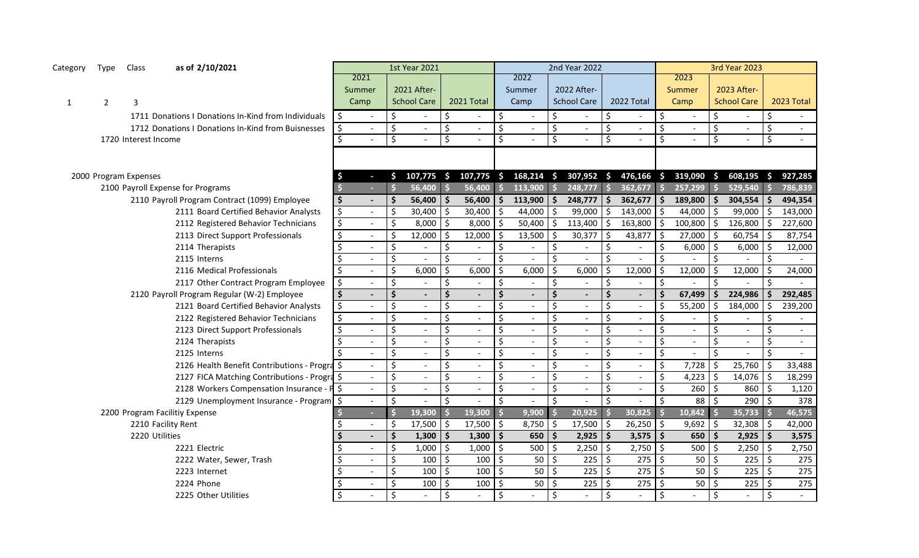| Category     | Type           | Class                 | as of 2/10/2021                                     |                                 |                          | <b>1st Year 2021</b>     |                     |                          |    |                          |     | 2nd Year 2022               |                         |                |                    |                |         | <b>3rd Year 2023</b> |                    |                          |
|--------------|----------------|-----------------------|-----------------------------------------------------|---------------------------------|--------------------------|--------------------------|---------------------|--------------------------|----|--------------------------|-----|-----------------------------|-------------------------|----------------|--------------------|----------------|---------|----------------------|--------------------|--------------------------|
|              |                |                       |                                                     | 2021                            |                          |                          |                     |                          |    | 2022                     |     |                             |                         |                |                    | 2023           |         |                      |                    |                          |
|              |                |                       |                                                     | Summer                          |                          | 2021 After-              |                     |                          |    | Summer                   |     | 2022 After-                 |                         |                |                    | Summer         |         | 2023 After-          |                    |                          |
| $\mathbf{1}$ | $\overline{2}$ | 3                     |                                                     | Camp                            |                          | <b>School Care</b>       |                     | 2021 Total               |    | Camp                     |     | <b>School Care</b>          |                         | 2022 Total     |                    | Camp           |         | <b>School Care</b>   |                    | 2023 Total               |
|              |                |                       | 1711 Donations I Donations In-Kind from Individuals | \$<br>$\blacksquare$            | $\zeta$                  | $\overline{\phantom{a}}$ | \$                  |                          |    |                          | Ś   | $\blacksquare$              | \$                      |                | Ŝ.                 |                | Ś.      |                      | Ś.                 | $\sim$                   |
|              |                |                       | 1712 Donations I Donations In-Kind from Buisnesses  | \$<br>$\overline{\phantom{a}}$  | $\zeta$                  | $\blacksquare$           | \$                  | $\overline{\phantom{a}}$ |    | $\overline{a}$           | \$  | $\overline{\phantom{a}}$    | \$                      | $\blacksquare$ | Ś.                 | $\overline{a}$ | \$      | $\overline{a}$       | \$                 | $\sim$                   |
|              |                | 1720 Interest Income  |                                                     |                                 | $\overline{\mathsf{s}}$  |                          | \$                  |                          | Ś. |                          | Ś.  |                             | $\overline{\mathsf{S}}$ |                | Ś.                 |                | \$      |                      | \$                 | $\overline{\phantom{a}}$ |
|              |                |                       |                                                     |                                 |                          |                          |                     |                          |    |                          |     |                             |                         |                |                    |                |         |                      |                    |                          |
|              |                |                       |                                                     |                                 |                          |                          |                     |                          |    |                          |     |                             |                         |                |                    |                |         |                      |                    |                          |
|              |                | 2000 Program Expenses |                                                     | \$<br>$\sim$                    | Ś.                       | $107,775$ \$             |                     | $107,775$ \$             |    | $168,214$ \$             |     | 307,952 \$                  |                         | $476,166$ \$   |                    | 319,090 \$     |         | 608,195              | S.                 | 927,285                  |
|              |                |                       | 2100 Payroll Expense for Programs                   | A.                              | \$                       | $56,400$ \$              |                     | 56,400                   |    | $113,900$ \$             |     | 248,777                     | $\vert$ \$              | 362,677        | $\dot{\mathsf{s}}$ | $257,299$ \$   |         | 529,540              | $\dot{\mathsf{s}}$ | 786,839                  |
|              |                |                       | 2110 Payroll Program Contract (1099) Employee       | \$<br>$\blacksquare$            | $\ddot{\bm{\zeta}}$      | 56,400                   | Ŝ.                  | 56,400                   | S  | 113,900                  | \$  | 248,777                     | $\ddot{\mathsf{s}}$     | 362,677        | Ŝ.                 | 189,800        | S       | 304,554              | Ŝ.                 | 494,354                  |
|              |                |                       | 2111 Board Certified Behavior Analysts              | \$<br>$ \,$                     | \$                       | 30,400                   | ς                   | 30,400                   |    | 44,000                   | ς   | 99,000                      | $\ddot{\mathsf{S}}$     | 143,000        |                    | 44,000         |         | 99,000               | \$                 | 143,000                  |
|              |                |                       | 2112 Registered Behavior Technicians                | \$<br>$\sim$                    | $\zeta$                  | 8,000                    | Ś.                  | 8,000                    |    | 50,400                   | \$  | 113,400                     | $\ddot{\varsigma}$      | 163,800        | S.                 | 100,800        | S       | 126,800              | Ŝ.                 | 227,600                  |
|              |                |                       | 2113 Direct Support Professionals                   | \$<br>$\mathbb{Z}^{\mathbb{Z}}$ | $\zeta$                  | 12,000                   | ς                   | 12,000                   |    | 13,500                   | \$. | 30,377                      | \$                      | 43,877         |                    | 27,000         | S.      | 60,754               | \$                 | 87,754                   |
|              |                |                       | 2114 Therapists                                     | \$<br>$\sim$                    | $\zeta$                  | $\sim$                   | \$                  |                          |    |                          | \$  | $\overline{a}$              | $\zeta$                 | $\overline{a}$ | \$                 | 6,000          | Ŝ.      | 6,000                | Ŝ.                 | 12,000                   |
|              |                |                       | 2115 Interns                                        | $\sim$                          | $\zeta$                  |                          | \$                  |                          |    |                          | Ś.  |                             | \$                      |                | Ś.                 |                | \$      |                      | \$                 |                          |
|              |                |                       | 2116 Medical Professionals                          | Ś.<br>$\mathbb{Z}^{\mathbb{Z}}$ | $\frac{1}{2}$            | 6,000                    | Ś.                  | 6,000                    |    | 6,000                    | Ś.  | 6,000                       | \$                      | 12,000         |                    | 12,000         | S.      | 12,000               | Ŝ.                 | 24,000                   |
|              |                |                       | 2117 Other Contract Program Employee                | \$<br>$\Delta$                  | \$                       |                          | \$                  |                          | \$ |                          | \$  |                             | $\zeta$                 |                | \$                 |                | \$      |                      | ς.                 |                          |
|              |                |                       | 2120 Payroll Program Regular (W-2) Employee         | \$<br>$\blacksquare$            | $\dot{\mathsf{s}}$       | $\overline{a}$           | $\dot{\mathsf{S}}$  |                          |    |                          | Ś   | $\blacksquare$              | $\dot{\mathsf{s}}$      | $\overline{a}$ | Ś.                 | 67,499         | Ŝ.      | 224,986              | Ś.                 | 292,485                  |
|              |                |                       | 2121 Board Certified Behavior Analysts              | \$<br>$\mathbb{L}^{\mathbb{N}}$ | \$                       | $\omega$                 | \$                  |                          |    |                          | \$  | $\overline{\phantom{a}}$    | \$                      | $\sim$         | Ś                  | 55,200         | S       | 184,000              | Ś.                 | 239,200                  |
|              |                |                       | 2122 Registered Behavior Technicians                | \$<br>$\mathbb{L}^{\mathbb{N}}$ | \$                       | $\sim$                   | \$                  |                          |    |                          | \$  | $\equiv$                    | \$                      |                | \$                 |                | \$      |                      | \$                 |                          |
|              |                |                       | 2123 Direct Support Professionals                   | \$<br>$\sim$                    | $\overline{\mathcal{S}}$ | $\blacksquare$           | \$                  |                          | Ś. |                          | \$  | $\mathcal{L}_{\mathcal{A}}$ | \$                      |                | \$                 |                | Ś       |                      | \$                 | $\sim$                   |
|              |                |                       | 2124 Therapists                                     | \$<br>$\omega$                  | \$                       | $\sim$                   | \$                  |                          |    |                          | Ś   | $\equiv$                    | \$                      |                | \$                 |                | \$      |                      | \$                 |                          |
|              |                |                       | 2125 Interns                                        | $\mathbb{L}$                    | \$                       | $\mathbb{L}$             | \$                  |                          | \$ | $\sim$                   | \$  | $\omega_{\rm c}$            | \$                      | $\blacksquare$ | \$                 |                | \$      |                      | \$                 |                          |
|              |                |                       | 2126 Health Benefit Contributions - Progra \$       | $\sim$                          | $\zeta$                  | $\mathbf{r}$             | \$                  |                          |    | $\overline{\phantom{0}}$ | Ś   | $\equiv$                    | \$                      | $\blacksquare$ | \$                 | 7,728          | \$      | 25,760               | \$                 | 33,488                   |
|              |                |                       | 2127 FICA Matching Contributions - Progra \$        | $\sim$                          | \$                       | $\sim$                   | \$                  |                          |    |                          | \$  | $\equiv$                    | \$                      | $\sim$         | \$                 | 4,223          | \$      | 14,076               | \$                 | 18,299                   |
|              |                |                       | 2128 Workers Compensation Insurance - P \$          | $\sim$                          | $\overline{\mathcal{S}}$ | $\sim$                   | \$                  |                          |    | $\overline{\phantom{0}}$ | \$  | $\blacksquare$              | \$                      |                | \$                 | 260            | $\zeta$ | 860                  | \$                 | 1,120                    |
|              |                |                       | 2129 Unemployment Insurance - Program \$            | $\blacksquare$                  | $\zeta$                  |                          | \$                  |                          |    |                          | Ś.  |                             | \$                      |                | \$                 | 88             | Ŝ.      | 290                  | \$                 | 378                      |
|              |                |                       | 2200 Program Facilitiy Expense                      | a.                              |                          | 19,300                   |                     | 19,300                   |    | 9,900                    |     | 20,925                      |                         | 30,825         | Ś                  | 10,842         |         | 35,733               |                    | 46,575                   |
|              |                |                       | 2210 Facility Rent                                  | $\blacksquare$                  | $\ddot{\mathsf{S}}$      | $17,500$ \$              |                     | 17,500                   | Š. | 8,750                    | \$  | 17,500                      | -\$                     | 26,250         | Ŝ.                 | 9,692          | Ŝ.      | 32,308               | Ŝ.                 | 42,000                   |
|              |                | 2220 Utilities        |                                                     | $\blacksquare$                  | $\ddot{\bm{\zeta}}$      | 1,300                    | Ŝ.                  | 1,300                    |    | 650                      | \$  | 2,925                       | $\ddot{\mathsf{s}}$     | 3,575          | Ŝ.                 | 650            |         | 2,925                | \$                 | 3,575                    |
|              |                |                       | 2221 Electric                                       |                                 | $\overline{\mathcal{S}}$ | 1,000                    | $\ddot{\mathsf{S}}$ | 1,000                    |    | 500                      | \$  | 2,250                       | $\ddot{\mathsf{s}}$     | 2,750          | \$                 | 500            | \$      | 2,250                | $\zeta$            | 2,750                    |
|              |                |                       | 2222 Water, Sewer, Trash                            |                                 | $\overline{\mathcal{S}}$ | 100                      | -\$                 | 100                      |    | 50                       | \$  | 225                         | $\ddot{\mathsf{S}}$     | 275            | -Ś                 | 50             | \$      | 225                  | \$                 | 275                      |
|              |                |                       | 2223 Internet                                       | \$                              | $\overline{\mathcal{S}}$ | 100                      | $\zeta$             | 100                      |    | 50                       | \$  | $\overline{225}$            | -\$                     | $275$ \$       |                    | 50             | $\zeta$ | 225                  | $\mathsf{\hat{S}}$ | 275                      |
|              |                |                       | 2224 Phone                                          | $\zeta$<br>$\overline{a}$       | $\zeta$                  | 100                      | Ŝ.                  | 100                      |    | 50                       | \$  | 225                         | -\$                     | 275            | -Ś                 | 50             | \$      | 225                  | \$                 | 275                      |
|              |                |                       | 2225 Other Utilities                                | $\zeta$                         | $\mathsf{S}$             |                          | Ŝ.                  |                          |    |                          | \$  |                             | Ŝ.                      |                | \$                 |                | \$      |                      | \$                 |                          |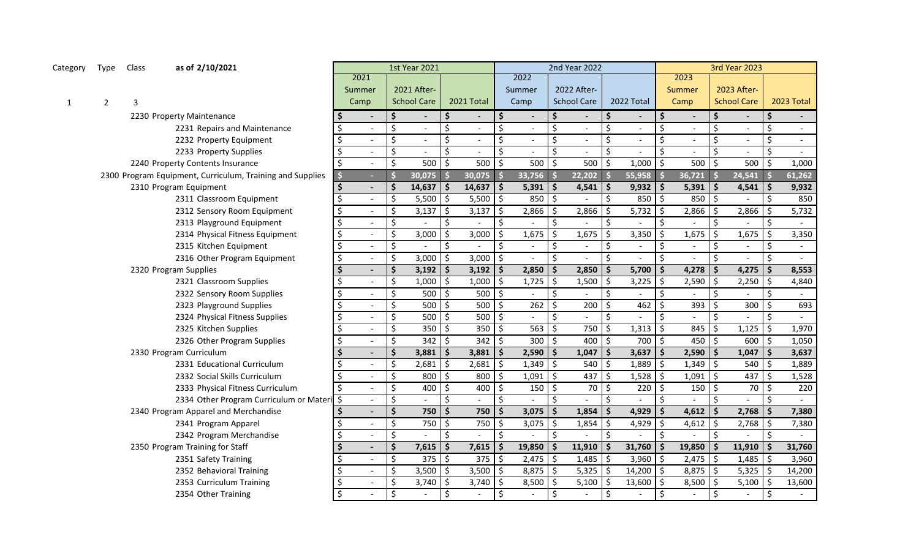| Category     | Type           | Class          | as of 2/10/2021                                           |                                |                           | 1st Year 2021            |                     |                          |                    |                          |                      | 2nd Year 2022            |                     |            |    |        |                          | <b>3rd Year 2023</b>     |                     |            |
|--------------|----------------|----------------|-----------------------------------------------------------|--------------------------------|---------------------------|--------------------------|---------------------|--------------------------|--------------------|--------------------------|----------------------|--------------------------|---------------------|------------|----|--------|--------------------------|--------------------------|---------------------|------------|
|              |                |                |                                                           | 2021                           |                           |                          |                     |                          |                    | 2022                     |                      |                          |                     |            |    | 2023   |                          |                          |                     |            |
|              |                |                |                                                           | Summer                         |                           | 2021 After-              |                     |                          |                    | Summer                   |                      | 2022 After-              |                     |            |    | Summer |                          | 2023 After-              |                     |            |
| $\mathbf{1}$ | $\overline{2}$ | $\overline{3}$ |                                                           | Camp                           |                           | <b>School Care</b>       |                     | 2021 Total               |                    | Camp                     |                      | <b>School Care</b>       |                     | 2022 Total |    | Camp   |                          | <b>School Care</b>       |                     | 2023 Total |
|              |                |                | 2230 Property Maintenance                                 | $\qquad \qquad \blacksquare$   | \$                        | $\overline{\phantom{a}}$ | \$.                 | $\overline{\phantom{a}}$ | \$                 | $\overline{\phantom{a}}$ | Ŝ                    | $\overline{\phantom{a}}$ | Ŝ                   |            | Ś  |        | Ś                        | $\overline{\phantom{a}}$ | \$                  | $\sim$     |
|              |                |                | 2231 Repairs and Maintenance                              |                                | \$                        |                          | \$                  | $\overline{\phantom{a}}$ | Ś.                 |                          | Ś.                   | $\overline{\phantom{a}}$ | \$                  |            | Ś  |        | Ś.                       | $\overline{\phantom{a}}$ | \$                  |            |
|              |                |                | 2232 Property Equipment                                   |                                | \$                        | $\blacksquare$           | \$                  | $\blacksquare$           | \$                 | $\overline{a}$           | Ś.                   | $\blacksquare$           | \$                  |            |    |        | Ś.                       | $\blacksquare$           | \$                  | $\sim$     |
|              |                |                | 2233 Property Supplies                                    | $\overline{a}$                 | \$                        | $\sim$                   | $\zeta$             | $\sim$                   | Ś.                 | $\overline{a}$           | \$                   | $\overline{a}$           | \$                  |            |    |        | \$                       | $\blacksquare$           | $\zeta$             | $\sim$     |
|              |                |                | 2240 Property Contents Insurance                          |                                | $\zeta$                   | 500                      | $\zeta$             | 500                      | $\mathsf{S}$       | 500                      | \$                   | 500                      | \$                  | 1,000      | Ŝ. | 500    | $\zeta$                  | 500                      | $\zeta$             | 1,000      |
|              |                |                | 2300 Program Equipment, Curriculum, Training and Supplies | a.                             |                           | 30,075                   | Ŝ                   | 30,075                   |                    | 33,756                   | Ŝ                    | 22,202                   |                     | 55,958     |    | 36,721 | $\dot{\mathsf{s}}$       | 24,541                   | $\mathsf{\hat{S}}$  | 61,262     |
|              |                |                | 2310 Program Equipment                                    | $\overline{\phantom{0}}$       | \$                        | 14,637                   | \$                  | 14,637                   | $\mathsf{I}$       | 5,391                    | \$                   | 4,541                    | \$                  | 9,932      | Ŝ. | 5,391  | \$                       | 4,541                    | $\ddot{\bm{\zeta}}$ | 9,932      |
|              |                |                | 2311 Classroom Equipment                                  | $\overline{a}$                 | $\zeta$                   | 5,500                    | $\zeta$             | 5,500                    | l \$               | 850                      | \$                   |                          | \$                  | 850        | Ŝ. | 850    | \$                       |                          | $\zeta$             | 850        |
|              |                |                | 2312 Sensory Room Equipment                               | $\overline{\phantom{a}}$       | $\zeta$                   | 3,137                    | $\zeta$             | 3,137                    | S.                 | 2,866                    | Ś.                   | 2,866                    | S.                  | 5,732      | Ŝ. | 2,866  | \$                       | 2,866                    | \$                  | 5,732      |
|              |                |                | 2313 Playground Equipment                                 | \$                             | $\boldsymbol{\mathsf{S}}$ |                          | $\mathsf{\hat{S}}$  |                          | $\mathsf{S}$       |                          | \$                   |                          | \$                  |            |    |        | \$                       |                          | $\zeta$             |            |
|              |                |                | 2314 Physical Fitness Equipment                           | \$<br>$\overline{\phantom{a}}$ | $\zeta$                   | 3,000                    | $\zeta$             | 3,000                    | $\zeta$            | 1,675                    | Ś.                   | 1,675                    | $\zeta$             | 3,350      |    | 1,675  | \$                       | 1,675                    | $\zeta$             | 3,350      |
|              |                |                | 2315 Kitchen Equipment                                    | \$<br>$\blacksquare$           | $\zeta$                   |                          | $\mathsf{\hat{S}}$  |                          | Ś.                 |                          | \$                   |                          | \$                  |            |    |        | \$                       | $\blacksquare$           | $\zeta$             | $\sim$     |
|              |                |                | 2316 Other Program Equipment                              | \$<br>$\overline{a}$           | $\zeta$                   | 3,000                    | \$                  | 3,000                    | Ŝ.                 | $\overline{a}$           | \$                   | $\overline{a}$           | Ŝ.                  |            |    |        | \$                       | $\blacksquare$           | $\zeta$             | $\sim$     |
|              |                |                | 2320 Program Supplies                                     | $\blacksquare$                 | $\dot{\mathsf{s}}$        | 3,192                    | $\ddot{\bm{\zeta}}$ | 3,192                    | Ŝ.                 | 2,850                    | $\dot{\mathsf{s}}$   | 2,850                    | Ŝ.                  | 5,700      |    | 4,278  | Ś                        | 4,275                    | $\ddot{\bm{\zeta}}$ | 8,553      |
|              |                |                | 2321 Classroom Supplies                                   | $\sim$                         | $\zeta$                   | 1,000                    | $\zeta$             | 1,000                    | Ŝ.                 | 1,725                    | \$                   | 1,500                    | \$                  | 3,225      | Ŝ. | 2,590  | \$                       | 2,250                    | $\zeta$             | 4,840      |
|              |                |                | 2322 Sensory Room Supplies                                | $\blacksquare$                 | \$                        | 500                      | $\zeta$             | 500                      | Ŝ.                 | $\sim$                   | \$                   |                          | \$                  |            | Ś. |        | Ś.                       | $\overline{\phantom{0}}$ | $\zeta$             | $\sim$     |
|              |                |                | 2323 Playground Supplies                                  |                                | \$                        | 500                      | \$                  | 500                      | <sup>\$</sup>      | 262                      | \$                   | 200                      | $\zeta$             | 462        | ς. | 393    | \$                       | 300                      | $\zeta$             | 693        |
|              |                |                | 2324 Physical Fitness Supplies                            | $\overline{\phantom{a}}$       | $\zeta$                   | 500                      | \$                  | 500                      | Ŝ.                 |                          | \$                   | $\overline{a}$           | $\zeta$             |            | Ś. | $\sim$ | \$                       | $\overline{a}$           | \$                  |            |
|              |                |                | 2325 Kitchen Supplies                                     |                                | \$                        | 350                      | $\zeta$             | 350                      | Ŝ.                 | 563                      | Ś.                   | 750                      | \$                  | 1,313      | Ŝ. | 845    | \$                       | 1,125                    | \$                  | 1,970      |
|              |                |                | 2326 Other Program Supplies                               |                                | $\zeta$                   | 342                      | $\zeta$             | 342                      | Ŝ.                 | 300                      | \$                   | 400                      | $\zeta$             | 700        | Ŝ. | 450    | $\mathsf{\hat{S}}$       | 600                      | $\zeta$             | 1,050      |
|              |                |                | 2330 Program Curriculum                                   | $\blacksquare$                 | $\dot{\mathsf{s}}$        | 3,881                    | $\frac{1}{2}$       | 3,881                    | $\mathsf{\$}$      | 2,590                    | Ŝ.                   | 1,047                    | \$                  | 3,637      | Ŝ. | 2,590  | \$                       | 1,047                    | $\zeta$             | 3,637      |
|              |                |                | 2331 Educational Curriculum                               | $\blacksquare$                 | \$                        | 2,681                    | $\zeta$             | 2,681                    | Ŝ.                 | 1,349                    | \$                   | 540                      | \$                  | 1,889      | Ŝ. | 1,349  | $\mathsf{\hat{S}}$       | 540                      | \$                  | 1,889      |
|              |                |                | 2332 Social Skills Curriculum                             |                                | \$                        | 800                      | $\zeta$             | 800                      | Ŝ.                 | 1,091                    | \$                   | 437                      | \$                  | 1,528      | Ŝ. | 1,091  | \$                       | 437                      | \$                  | 1,528      |
|              |                |                | 2333 Physical Fitness Curriculum                          |                                | \$                        | 400                      | $\zeta$             | 400                      | Ŝ.                 | 150                      | \$                   | 70                       | \$                  | 220        | ς. | 150    | \$                       | 70                       | $\ddot{\mathsf{S}}$ | 220        |
|              |                |                | 2334 Other Program Curriculum or Materi                   | \$                             | \$                        |                          | $\zeta$             |                          | \$                 |                          | \$                   |                          | $\zeta$             |            |    |        | \$                       |                          | $\zeta$             |            |
|              |                |                | 2340 Program Apparel and Merchandise                      | $\overline{\phantom{0}}$       | $\dot{\mathsf{s}}$        | 750                      | \$                  | 750                      |                    | 3,075                    | Ŝ.                   | 1,854                    | Ś                   | 4,929      |    | 4,612  | Ś                        | 2,768                    | $\ddot{\bm{\zeta}}$ | 7,380      |
|              |                |                | 2341 Program Apparel                                      | $\blacksquare$                 | $\zeta$                   | 750                      | $\zeta$             | 750                      | Ŝ.                 | 3,075                    | \$                   | 1,854                    | \$                  | 4,929      |    | 4,612  | \$                       | 2,768                    | $\ddot{\mathsf{S}}$ | 7,380      |
|              |                |                | 2342 Program Merchandise                                  |                                | \$                        |                          | $\zeta$             |                          | \$                 |                          | Ś.                   |                          | \$                  |            |    |        | \$                       |                          | $\zeta$             |            |
|              |                |                | 2350 Program Training for Staff                           | $\overline{\phantom{0}}$       | \$                        | 7,615                    | \$                  | 7,615                    | Ŝ.                 | 19,850                   | \$                   | 11,910                   | Ś                   | 31,760     |    | 19,850 | \$                       | 11,910                   | \$                  | 31,760     |
|              |                |                | 2351 Safety Training                                      |                                | \$                        | 375                      | $\zeta$             | 375                      | Ŝ.                 | 2,475                    | \$                   | 1,485                    | $\ddot{\mathsf{S}}$ | 3,960      | Ŝ. | 2,475  | \$                       | 1,485                    | $\ddot{\mathsf{S}}$ | 3,960      |
|              |                |                | 2352 Behavioral Training                                  |                                | \$                        | 3,500                    | $\ddot{\mathsf{S}}$ | $3,500$ \$               |                    | 8,875                    | \$                   | 5,325                    | \$                  | 14,200     |    | 8,875  | $\overline{\phantom{a}}$ | 5,325                    | $\ddot{\mathsf{S}}$ | 14,200     |
|              |                |                | 2353 Curriculum Training                                  |                                | $\zeta$                   | 3,740                    | $\ddot{\varsigma}$  | 3,740                    | $\vert \mathsf{s}$ | 8,500                    | \$                   | 5,100                    | $\zeta$             | 13,600     |    | 8,500  | $\ddot{\mathsf{S}}$      | 5,100                    | $\ddot{\mathsf{S}}$ | 13,600     |
|              |                |                | 2354 Other Training                                       |                                | $\mathsf{S}$              |                          | $\zeta$             |                          | \$                 |                          | $\boldsymbol{\zeta}$ |                          | $\zeta$             |            | \$ |        | $\mathsf{\hat{S}}$       |                          | $\zeta$             |            |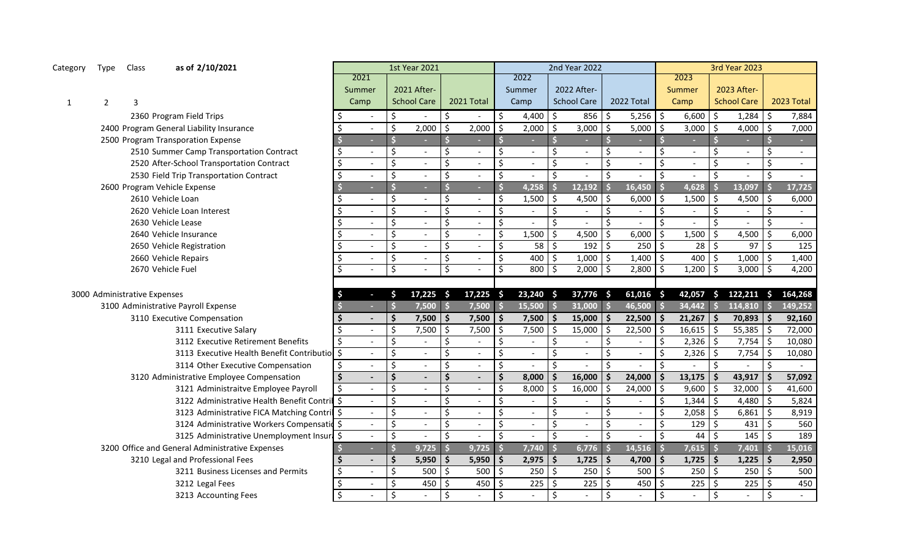| Category     | Type           | Class                        | as of 2/10/2021                                 |               |                           |                          | <b>1st Year 2021</b>     |                          |                          |     |                |                           | 2nd Year 2022            |                                 |                      |                |                     | <b>3rd Year 2023</b> |                     |                          |
|--------------|----------------|------------------------------|-------------------------------------------------|---------------|---------------------------|--------------------------|--------------------------|--------------------------|--------------------------|-----|----------------|---------------------------|--------------------------|---------------------------------|----------------------|----------------|---------------------|----------------------|---------------------|--------------------------|
|              |                |                              |                                                 | 2021          |                           |                          |                          |                          |                          |     | 2022           |                           |                          |                                 |                      | 2023           |                     |                      |                     |                          |
|              |                |                              |                                                 | Summer        |                           |                          | 2021 After-              |                          |                          |     | Summer         |                           | 2022 After-              |                                 |                      | Summer         |                     | 2023 After-          |                     |                          |
| $\mathbf{1}$ | $\overline{2}$ | 3                            |                                                 | Camp          |                           |                          | <b>School Care</b>       |                          | 2021 Total               |     | Camp           |                           | <b>School Care</b>       | 2022 Total                      |                      | Camp           |                     | <b>School Care</b>   |                     | 2023 Total               |
|              |                |                              | 2360 Program Field Trips                        |               | $\overline{\phantom{a}}$  | \$                       |                          | \$                       |                          | \$  | 4,400          | \$                        | 856                      | \$<br>5,256                     | l \$                 | 6,600          | Ŝ.                  | 1,284                | Ŝ.                  | 7,884                    |
|              |                |                              | 2400 Program General Liability Insurance        | \$            |                           | $\zeta$                  | 2,000                    | $\mathsf{\hat{S}}$       | 2,000                    | \$  | 2,000          | \$                        | 3,000                    | \$ ا<br>5,000                   | \$                   | 3,000          | Ŝ.                  | 4,000                | \$                  | 7,000                    |
|              |                |                              | 2500 Program Transporation Expense              |               | ٠                         |                          | $\sim$                   | \$                       |                          |     |                | Ś                         | ÷                        | $\ddot{\bm{\zeta}}$             | Ŝ                    |                |                     |                      |                     |                          |
|              |                |                              | 2510 Summer Camp Transportation Contract        | \$            | $\overline{\phantom{a}}$  | \$                       | $\overline{\phantom{a}}$ | \$                       | $\overline{\phantom{a}}$ | Ś   | $\blacksquare$ | Ś                         | $\sim$                   | Ś.<br>$\blacksquare$            | \$                   | $\blacksquare$ | Ś.                  | $\blacksquare$       | Ś.                  | $\overline{\phantom{a}}$ |
|              |                |                              | 2520 After-School Transportation Contract       | \$            | $\blacksquare$            | \$                       | $\overline{\phantom{a}}$ | \$                       | $\blacksquare$           |     | $\blacksquare$ | Ś.                        | $\blacksquare$           | \$<br>$\overline{a}$            | \$                   | $\blacksquare$ |                     | $\blacksquare$       | \$                  | $\blacksquare$           |
|              |                |                              | 2530 Field Trip Transportation Contract         | \$            | $\overline{a}$            | \$                       | $\sim$                   | \$                       |                          | \$  |                | Ś.                        | $\overline{\phantom{a}}$ | \$                              | Ś                    |                |                     |                      | Ś.                  | $\sim$                   |
|              |                |                              | 2600 Program Vehicle Expense                    |               | $\sim$                    | $\overline{\mathsf{S}}$  | $\sim$                   | $\dot{\mathsf{s}}$       | н                        |     | 4,258          | Ś                         | 12,192                   | 16,450<br>Ŝ                     |                      | 4,628          |                     | 13,097               |                     | 17,725                   |
|              |                |                              | 2610 Vehicle Loan                               |               | $\frac{1}{2}$             | \$                       | $\overline{\phantom{a}}$ | \$                       |                          |     | 1,500          | Ś                         | 4,500                    | -\$<br>6,000                    | Ŝ.                   | 1,500          | Ŝ.                  | 4,500                | \$                  | 6,000                    |
|              |                |                              | 2620 Vehicle Loan Interest                      |               | $\blacksquare$            | \$                       | $\blacksquare$           | \$                       | $\overline{a}$           |     |                | Ś                         | $\blacksquare$           | \$<br>$\sim$                    | \$                   |                | Ś.                  |                      | $\zeta$             | $\sim$                   |
|              |                |                              | 2630 Vehicle Lease                              | \$            | $\blacksquare$            | \$                       | $\blacksquare$           | $\zeta$                  | $\overline{\phantom{a}}$ | \$  |                | Ś.                        | $\overline{\phantom{a}}$ | $\zeta$                         | $\boldsymbol{\zeta}$ |                | Ś.                  |                      | \$                  | $\sim$                   |
|              |                |                              | 2640 Vehicle Insurance                          | \$            | $\blacksquare$            | \$                       | $\blacksquare$           | $\zeta$                  |                          | Ŝ.  | 1,500          | Ś.                        | 4,500                    | \$<br>6,000                     | 5                    | 1,500          | Ŝ.                  | 4,500                | \$                  | 6,000                    |
|              |                |                              | 2650 Vehicle Registration                       |               | $\overline{a}$            | \$                       | $\mathbf{r}$             | $\mathsf{\hat{S}}$       |                          | \$  | 58             | Ś.                        | 192                      | l \$<br>$250$ \$                |                      | 28             | l \$                | $97$ \$              |                     | 125                      |
|              |                |                              | 2660 Vehicle Repairs                            | $\frac{1}{2}$ | $\sim$                    | \$                       | $\mathbf{r}$             | $\zeta$                  |                          | \$  | 400            | \$                        | 1,000                    | l\$<br>$1,400$ \$               |                      | 400            | S.                  | $1,000$ \$           |                     | 1,400                    |
|              |                |                              | 2670 Vehicle Fuel                               |               | $\overline{a}$            | $\overline{\mathcal{S}}$ | $\sim$                   | $\overline{\mathcal{S}}$ |                          | Ŝ.  | 800            | \$                        | 2,000                    | l \$<br>$2,800$ \$              |                      | 1,200          | l \$                | $3,000$ \$           |                     | 4,200                    |
|              |                |                              |                                                 |               |                           |                          |                          |                          |                          |     |                |                           |                          |                                 |                      |                |                     |                      |                     |                          |
|              |                |                              |                                                 |               |                           |                          |                          |                          |                          |     |                |                           |                          |                                 |                      |                |                     |                      |                     |                          |
|              |                | 3000 Administrative Expenses |                                                 | \$            | $\sim$                    | \$.                      | $17,225$ \$              |                          | $17,225$ \$              |     | $23,240$ \$    |                           | 37,776 \$                | $61,016$ \$                     |                      | 42,057         |                     | $$122,211$ \$        |                     | 164,268                  |
|              |                |                              | 3100 Administrative Payroll Expense             |               | $\sim$                    | S                        | 7,500                    | $\ddot{\mathsf{s}}$      | 7,500                    |     | 15,500         | $\mathsf{\hat{S}}$        | $31,000$ \$              | 46,500                          | ß                    | 34,442         | $\mathsf{\$}$       | 114,810              | $\mathsf{\hat{S}}$  | 149,252                  |
|              |                |                              | 3110 Executive Compensation                     |               | $\sim$                    | \$                       | 7,500                    | l s                      | 7,500                    | \$. | 7,500          | $\mathsf{\hat{S}}$        | 15,000                   | 22,500<br>l \$                  | l \$                 | 21,267         | S.                  | 70,893               | $\mathsf{\hat{S}}$  | 92,160                   |
|              |                |                              | 3111 Executive Salary                           |               | $\sim$                    | \$                       | 7,500                    | $\mathsf{\hat{S}}$       | 7,500                    |     | 7,500          | \$                        | 15,000                   | 22,500<br>\$                    | 5                    | 16,615         | Ŝ.                  | 55,385               | \$                  | 72,000                   |
|              |                |                              | 3112 Executive Retirement Benefits              | \$            | $\omega$                  | $\zeta$                  | $\overline{\phantom{a}}$ | \$                       |                          | Ś.  |                | \$                        |                          | \$                              | \$                   | 2,326          | -Ś                  | 7,754                | \$                  | 10,080                   |
|              |                |                              | 3113 Executive Health Benefit Contributio       | $\frac{1}{2}$ | $\mathbb{Z}^{\mathbb{Z}}$ | $\ddot{\phi}$            | $\mathbb{L}$             | \$                       |                          | Ś.  |                | \$                        | $\overline{\phantom{a}}$ | \$                              | \$                   | 2,326          | -Ś                  | 7,754                | \$                  | 10,080                   |
|              |                |                              | 3114 Other Executive Compensation               | \$            | $\mathbb{L}^{\mathbb{N}}$ | \$                       | $\mathbb{L}$             | $\zeta$                  |                          | \$  |                | Ś                         |                          | $\zeta$                         | \$                   |                | \$                  |                      | $\zeta$             |                          |
|              |                |                              | 3120 Administrative Employee Compensation       | $\zeta$       | $\blacksquare$            | \$                       | $\blacksquare$           | \$                       |                          |     | 8,000          | \$                        | 16,000                   | \$<br>24,000                    | \$                   | 13,175         |                     | 43,917               | $\ddot{\bm{\zeta}}$ | 57,092                   |
|              |                |                              | 3121 Administraitve Employee Payroll            | \$            | $\Delta$                  | \$                       | $\mathbb{L}$             | \$                       |                          | Ś.  | 8,000          | \$                        | 16,000                   | \$ ا<br>24,000                  | $\zeta$              | 9,600          | S.                  | 32,000               | \$                  | 41,600                   |
|              |                |                              | 3122 Administrative Health Benefit Contril      | $\zeta$       | $\Delta$                  | \$                       | $\sim$                   | $\boldsymbol{\zeta}$     |                          | \$  |                | \$                        |                          | \$                              | \$                   | 1,344          | Ŝ.                  | 4,480                | $\zeta$             | 5,824                    |
|              |                |                              | 3123 Administrative FICA Matching Contril \$    |               | $\sim$                    | \$                       | $\blacksquare$           | $\zeta$                  |                          | Ś.  | $\blacksquare$ | \$                        | $\overline{\phantom{a}}$ | \$                              | \$                   | 2,058          | l \$                | $6,861$ \$           |                     | 8,919                    |
|              |                |                              | 3124 Administrative Workers Compensatio \$      |               | $\Delta$                  | \$                       | $\mathbb{Z}$             | \$                       |                          | Ś.  | $\overline{a}$ | \$                        | $\equiv$                 | \$                              | \$                   | 129            | Ŝ.                  | 431                  | l \$                | 560                      |
|              |                |                              | 3125 Administrative Unemployment Insura \$      |               | $\overline{a}$            | \$                       |                          | $\mathsf{\hat{S}}$       |                          | Ś.  |                | \$                        |                          | \$                              | \$                   | 44             | \$                  | 145                  | $\zeta$             | 189                      |
|              |                |                              | 3200 Office and General Administrative Expenses |               | ÷.                        | $\overline{\mathsf{S}}$  | 9,725                    |                          | 9,725                    |     | 7,740          | \$                        | 6,776                    | 14,516<br>∣\$                   | $\mathsf{S}$         | 7,615          |                     | 7,401                | -S                  | 15,016                   |
|              |                |                              | 3210 Legal and Professional Fees                |               | $\overline{a}$            | \$                       | 5,950                    | l \$                     | 5,950                    |     | 2,975          | $\ddot{\bm{\zeta}}$       | 1,725                    | ۱\$<br>4,700                    | \$                   | 1,725          | S.                  | $1,225$   \$         |                     | 2,950                    |
|              |                |                              | 3211 Business Licenses and Permits              | \$            | $\overline{a}$            | \$                       | 500                      | $\vert$ \$               | 500                      | Ŝ.  | 250            | $\boldsymbol{\mathsf{S}}$ | 250                      | $\overline{\phantom{a}}$<br>500 | l \$                 | 250            | $\zeta$             | $250$ \$             |                     | 500                      |
|              |                |                              | 3212 Legal Fees                                 | \$            | $\blacksquare$            | \$                       | $450$ \$                 |                          | 450                      |     | 225            | \$                        | 225                      | 450<br>l \$                     | l \$                 | 225            | $\ddot{\mathsf{S}}$ | 225                  | $\zeta$             | 450                      |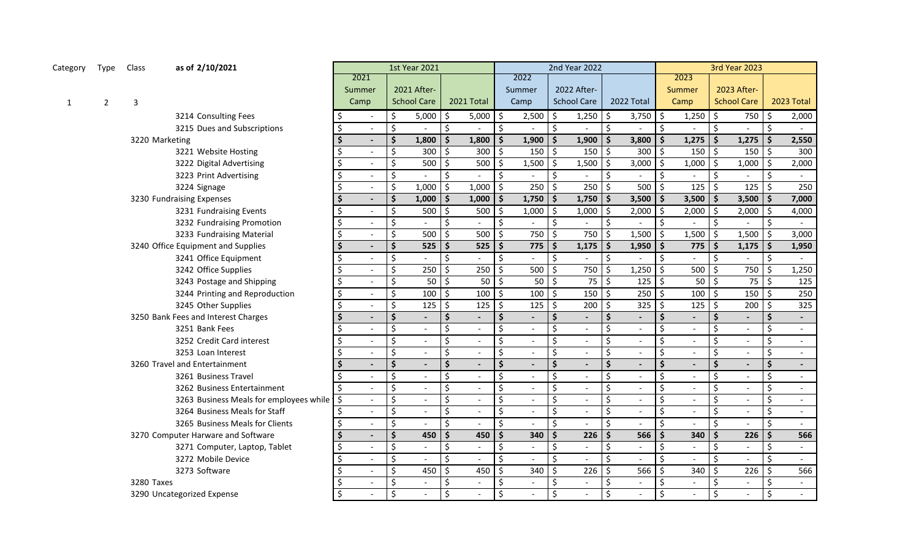| Category | Type           | Class          | as of 2/10/2021                            |                           |                          | <b>1st Year 2021</b> |                    |                |                    |                | 2nd Year 2022            |                          |                          |                          |                    |                |                      | <b>3rd Year 2023</b>     |                          |                |
|----------|----------------|----------------|--------------------------------------------|---------------------------|--------------------------|----------------------|--------------------|----------------|--------------------|----------------|--------------------------|--------------------------|--------------------------|--------------------------|--------------------|----------------|----------------------|--------------------------|--------------------------|----------------|
|          |                |                |                                            | 2021                      |                          |                      |                    |                |                    | 2022           |                          |                          |                          |                          |                    | 2023           |                      |                          |                          |                |
|          |                |                |                                            | Summer                    |                          | 2021 After-          |                    |                |                    | Summer         | 2022 After-              |                          |                          |                          |                    | Summer         |                      | 2023 After-              |                          |                |
| 1        | $\overline{2}$ | 3              |                                            | Camp                      |                          | <b>School Care</b>   |                    | 2021 Total     |                    | Camp           | <b>School Care</b>       |                          | 2022 Total               |                          |                    | Camp           |                      | <b>School Care</b>       |                          | 2023 Total     |
|          |                |                | 3214 Consulting Fees                       | $\overline{\phantom{a}}$  | \$                       | 5,000                | Ś                  | 5,000          | \$                 | 2,500          | \$                       | 1,250                    | I \$                     | 3,750                    | Ś.                 | 1,250          | Ŝ.                   | 750                      | \$                       | 2,000          |
|          |                |                | 3215 Dues and Subscriptions                | $\blacksquare$            | $\overline{\mathcal{S}}$ | $\overline{a}$       | \$                 |                | \$                 |                | Ś.                       |                          | $\mathsf{\dot{S}}$       |                          | \$                 |                | ς.                   |                          | $\zeta$                  |                |
|          |                | 3220 Marketing |                                            | $\blacksquare$            | $\dot{\mathsf{S}}$       | 1,800                | Ŝ.                 | 1,800          | Ś.                 | 1,900          | $\ddot{\bm{\zeta}}$      | 1,900                    | \$ ا                     | 3,800                    | $\dot{\mathsf{S}}$ | 1,275          | $\dot{\mathsf{s}}$   | 1,275                    | $\ddot{\bm{\zeta}}$      | 2,550          |
|          |                |                | 3221 Website Hosting                       | $\overline{a}$            | $\zeta$                  | 300                  | Ś.                 | 300            |                    | 150            | $\zeta$                  | 150                      | $\vert$ \$               | 300                      | \$                 | 150            | Ŝ.                   | 150                      | $\zeta$                  | 300            |
|          |                |                | 3222 Digital Advertising                   | $\blacksquare$            | $\zeta$                  | 500                  | Ś.                 | 500            |                    | 1,500          | \$                       | 1,500                    | l \$                     | 3,000                    | Ś.                 | 1,000          | Ŝ.                   | 1,000                    | $\zeta$                  | 2,000          |
|          |                |                | 3223 Print Advertising                     | $\blacksquare$            | $\zeta$                  |                      | Ś.                 |                | <sup>\$</sup>      |                | \$                       |                          | \$                       |                          | \$                 |                | Ŝ.                   |                          | \$                       |                |
|          |                |                | 3224 Signage                               | $\overline{\phantom{0}}$  | $\zeta$                  | 1,000                | \$                 | 1,000          | $\zeta$            | 250            | \$                       | 250                      | \$ ا                     | 500                      | \$                 | 125            | Ŝ.                   | 125                      | $\zeta$                  | 250            |
|          |                |                | 3230 Fundraising Expenses                  | $\blacksquare$            | $\ddot{\bm{\zeta}}$      | 1,000                | $\mathsf{\$}$      | 1,000          |                    | 1,750          | $\mathsf{\hat{S}}$       | 1,750                    | $\vert$ \$               | 3,500                    | Ś.                 | 3,500          | Ŝ.                   | 3,500                    | $\ddot{\bm{\zeta}}$      | 7,000          |
|          |                |                | 3231 Fundraising Events                    | $\sim$                    | $\zeta$                  | 500                  | \$                 | 500            |                    | 1,000          | $\zeta$                  | 1,000                    | ا \$                     | 2,000                    | Ś.                 | 2,000          | Ŝ.                   | 2,000                    | $\zeta$                  | 4,000          |
|          |                |                | 3232 Fundraising Promotion                 | \$<br>$\sim$              | $\boldsymbol{\zeta}$     |                      | \$                 |                | $\mathsf{\hat{S}}$ |                | $\zeta$                  | $\sim$                   | $\zeta$                  |                          | $\zeta$            |                | $\zeta$              |                          | \$                       | $\sim$         |
|          |                |                | 3233 Fundraising Material                  | \$<br>$\sim$              | $\overline{\mathcal{S}}$ | 500                  | \$                 | 500            |                    | 750            | $\overline{\mathcal{S}}$ | 750                      | $\mathsf{S}$             | 1,500                    | \$                 | 1,500          | Ś.                   | 1,500                    | \$                       | 3,000          |
|          |                |                | 3240 Office Equipment and Supplies         | Ŝ.<br>$\blacksquare$      | $\ddot{\bm{\zeta}}$      | 525                  | Ŝ.                 | 525            |                    | 775            | $\ddot{\bm{\zeta}}$      | 1,175                    | \$ ا                     | 1,950                    | Ŝ.                 | 775            | \$                   | 1,175                    | $\ddot{\bm{\zeta}}$      | 1,950          |
|          |                |                | 3241 Office Equipment                      | $\sim$                    | \$                       |                      | \$                 |                | \$                 |                | $\zeta$                  |                          | $\zeta$                  |                          | \$                 |                | $\mathsf{\hat{S}}$   |                          | $\boldsymbol{\zeta}$     |                |
|          |                |                | 3242 Office Supplies                       | $\sim$                    | \$                       | 250                  |                    | 250            |                    | 500            | \$                       | 750                      | \$ ا                     | 1,250                    | Ś.                 | 500            | \$                   | 750                      | \$                       | 1,250          |
|          |                |                | 3243 Postage and Shipping                  | $\Delta$                  | \$                       | 50                   | \$                 | 50             | -Ś                 | 50             | \$                       | 75                       | l\$                      | 125                      | Ś.                 | 50             | \$                   | 75                       | $\zeta$                  | 125            |
|          |                |                | 3244 Printing and Reproduction             | $\mathbb{Z}^{\mathbb{Z}}$ | $\zeta$                  | 100                  | ς                  | 100            | Ŝ.                 | 100            | $\zeta$                  | 150                      | 5 ا                      | 250                      |                    | 100            | $\mathsf{S}$         | 150                      | $\zeta$                  | 250            |
|          |                |                | 3245 Other Supplies                        | $\sim$                    | $\zeta$                  | 125                  | \$                 | 125            | -\$                | 125            | $\ddot{\mathsf{S}}$      | 200                      | ا \$                     | 325                      | \$                 | 125            | $\zeta$              | 200                      | $\zeta$                  | 325            |
|          |                |                | 3250 Bank Fees and Interest Charges        | $\blacksquare$            | $\dot{\mathsf{S}}$       | $\frac{1}{2}$        | $\dot{\mathsf{s}}$ |                | \$                 |                | \$                       | $\overline{\phantom{a}}$ | $\dot{\mathsf{S}}$       |                          | \$                 |                | $\mathsf{S}$         |                          | $\mathsf{\hat{S}}$       |                |
|          |                |                | 3251 Bank Fees                             | $\mathbb{Z}^{\mathbb{Z}}$ | \$                       | $\mathbb{Z}^2$       | \$                 |                | \$                 |                | \$                       | $\equiv$                 | \$                       |                          | \$                 |                | \$                   | $\mathbb{L}^2$           | \$                       | $\sim$         |
|          |                |                | 3252 Credit Card interest                  | $\mathbb{Z}^{\mathbb{Z}}$ | $\zeta$                  | $\mathbb{L}$         | \$                 |                | \$                 |                | \$                       | $\omega$                 | $\zeta$                  |                          | \$                 |                | $\boldsymbol{\zeta}$ | $\mathbb{L}^2$           | \$                       | $\omega$       |
|          |                |                | 3253 Loan Interest                         | $\mathbb{Z}^{\mathbb{Z}}$ | \$                       | $\mathbb{L}$         | \$                 |                | \$                 |                | \$                       | $\omega$                 | $\zeta$                  |                          | \$                 |                | \$                   | $\omega$                 | \$                       | $\omega$       |
|          |                |                | 3260 Travel and Entertainment              | $\blacksquare$            | $\dot{\mathsf{s}}$       | $\blacksquare$       | \$                 | $\blacksquare$ | \$                 | $\blacksquare$ | \$                       | $\blacksquare$           | $\dot{\mathsf{s}}$       |                          | \$                 | $\blacksquare$ | $\dot{\mathsf{S}}$   | $\sim$                   | $\dot{\mathsf{s}}$       | $\blacksquare$ |
|          |                |                | 3261 Business Travel                       | $\overline{a}$            | $\zeta$                  | $\mathbf{r}$         | \$                 |                | \$                 | $\overline{a}$ | \$                       | $\omega$                 | $\zeta$                  |                          | \$                 |                | \$                   | $\Delta$                 | \$                       | $\sim$         |
|          |                |                | 3262 Business Entertainment                | $\overline{a}$            | $\overline{\mathcal{S}}$ | $\omega$             | \$                 |                | \$                 | $\sim$         | \$                       | $\sim$                   | $\zeta$                  | $\overline{\phantom{a}}$ | \$                 |                | \$                   | $\overline{\phantom{a}}$ | \$                       | $\sim$         |
|          |                |                | 3263 Business Meals for employees while \$ | $\overline{a}$            | $\overline{\mathcal{S}}$ | $\omega$             | \$                 |                | \$                 | $\sim$         | $\overline{\mathcal{S}}$ | $\sim$                   | $\overline{\mathcal{S}}$ |                          | Ś                  |                | \$                   | $\sim$                   | $\overline{\mathcal{S}}$ | $\sim$         |
|          |                |                | 3264 Business Meals for Staff              | $\Delta$                  | $\zeta$                  | $\sim$               | \$                 |                | \$                 | $\overline{a}$ | \$                       | $\sim$                   | \$                       |                          | \$                 |                | \$                   | $\sim$                   | \$                       | $\sim$         |
|          |                |                | 3265 Business Meals for Clients            | $\sim$                    | $\zeta$                  | $\overline{a}$       | Ś.                 |                |                    |                | \$                       | $\overline{a}$           | $\boldsymbol{\zeta}$     |                          | \$                 |                |                      |                          | $\boldsymbol{\zeta}$     | $\sim$         |
|          |                |                | 3270 Computer Harware and Software         | $\blacksquare$            | $\overline{\mathbf{s}}$  | 450                  | Ś                  | 450            |                    | 340            | \$                       | 226                      | $\ddot{\mathsf{s}}$      | 566                      |                    | 340            | $\boldsymbol{\zeta}$ | 226                      | $\ddot{\bm{\zeta}}$      | 566            |
|          |                |                | 3271 Computer, Laptop, Tablet              | $\overline{a}$            | \$                       | $\blacksquare$       | \$                 |                | \$                 | $\overline{a}$ | \$                       | $\equiv$                 | $\zeta$                  |                          | \$                 |                | \$                   | $\overline{\phantom{0}}$ | \$                       | $\sim$         |
|          |                |                | 3272 Mobile Device                         | $\overline{a}$            | $\overline{\xi}$         | $\overline{a}$       | Ś                  |                | \$                 |                | $\overline{\mathcal{S}}$ | $\omega$                 | $\mathsf{S}$             |                          | $\zeta$            |                | $\boldsymbol{\zeta}$ |                          | $\overline{\mathcal{S}}$ | $\sim$         |
|          |                |                | 3273 Software                              | $\mathbf{L}$              | $\overline{\mathcal{S}}$ | 450                  | \$                 | 450            | \$                 | 340            | $\zeta$                  | 226                      | \$ ا                     | 566                      | \$                 | 340            | \$                   | 226                      | $\zeta$                  | 566            |
|          |                | 3280 Taxes     |                                            | $\overline{a}$            | $\overline{\xi}$         | $\Box$               | \$                 |                | $\zeta$            |                | \$                       | $\equiv$                 | \$                       |                          | \$                 |                | \$                   |                          | \$                       | $\sim$         |
|          |                |                | 3290 Uncategorized Expense                 | $\zeta$                   | $\overline{\mathcal{S}}$ | $\overline{a}$       | \$                 |                | -\$                |                | $\boldsymbol{\zeta}$     | $\overline{\phantom{a}}$ | $\zeta$                  |                          | \$                 |                | \$                   |                          | \$                       |                |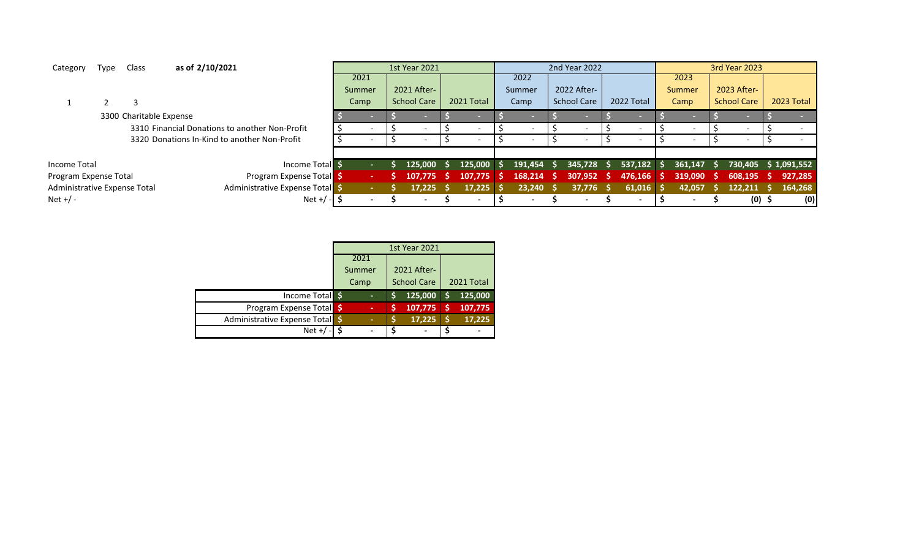| Category                     | Type | Class                   | as of 2/10/2021 |                                                |                | <b>1st Year 2021</b> |            |              |     | 2nd Year 2022            |     |              |               | <b>3rd Year 2023</b> |     |             |
|------------------------------|------|-------------------------|-----------------|------------------------------------------------|----------------|----------------------|------------|--------------|-----|--------------------------|-----|--------------|---------------|----------------------|-----|-------------|
|                              |      |                         |                 |                                                | 2021           |                      |            | 2022         |     |                          |     |              | 2023          |                      |     |             |
|                              |      |                         |                 |                                                | Summer         | 2021 After-          |            | Summer       |     | 2022 After-              |     |              | <b>Summer</b> | 2023 After-          |     |             |
|                              |      |                         |                 |                                                | Camp           | <b>School Care</b>   | 2021 Total | Camp         |     | <b>School Care</b>       |     | 2022 Total   | Camp          | <b>School Care</b>   |     | 2023 Total  |
|                              |      | 3300 Charitable Expense |                 |                                                |                |                      |            |              |     | <b>COLLEGE</b>           |     |              |               |                      |     |             |
|                              |      |                         |                 | 3310 Financial Donations to another Non-Profit |                |                      |            |              |     | $\overline{\phantom{a}}$ |     |              |               |                      |     |             |
|                              |      |                         |                 | 3320 Donations In-Kind to another Non-Profit   |                |                      |            |              |     |                          |     |              |               |                      |     |             |
|                              |      |                         |                 |                                                |                |                      |            |              |     |                          |     |              |               |                      |     |             |
| Income Total                 |      |                         |                 | Income Total \$                                | ×.             | 125,000              | 125,000 \$ | $191,454$ \$ |     | 345,728                  | -S. | $537,182$ \$ | 361.147 S     | 730.405              |     | \$1,091,552 |
| Program Expense Total        |      |                         |                 | <b>Program Expense Total</b> \$                | <b>Section</b> | 107.775              | 107.775    | 168,214      | - S | 307,952                  | - 5 | $476,166$ \$ | 319,090       | 608,195              | - S | 927,285     |
| Administrative Expense Total |      |                         |                 | Administrative Expense Total                   |                | 17,225               | 17.225     | 23,240       | -S  | $37,776$ \$              |     | $61,016$ \$  | 42,057        | 122,211              |     | 164,268     |
| Net $+/-$                    |      |                         |                 | Net $+$ /                                      |                |                      |            |              |     |                          |     |              |               | $(0)$ \$             |     | (0)         |

|                                 |        | <b>1st Year 2021</b> |            |
|---------------------------------|--------|----------------------|------------|
|                                 | 2021   |                      |            |
|                                 | Summer | 2021 After-          |            |
|                                 | Camp   | <b>School Care</b>   | 2021 Total |
| Income Total \$                 | ٠      | 125,000              | 125,000    |
| Program Expense Total           | ٠      | 107,775              | 107,775    |
| Administrative Expense Total \$ | ٠      | 17,225               | 17,225     |
| $Net +$                         |        |                      |            |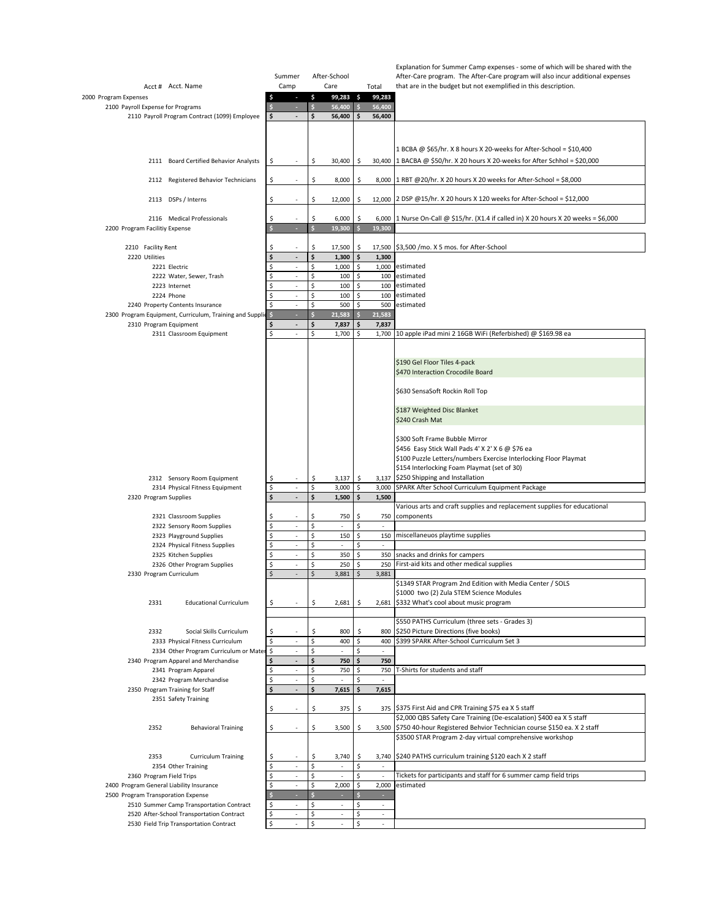|                                                                                      |         |                                                      |                    |                          |               |                                                      | Explanation for Summer Camp expenses - some of which will be shared with the                         |
|--------------------------------------------------------------------------------------|---------|------------------------------------------------------|--------------------|--------------------------|---------------|------------------------------------------------------|------------------------------------------------------------------------------------------------------|
|                                                                                      | Summer  |                                                      |                    | After-School             |               |                                                      | After-Care program. The After-Care program will also incur additional expenses                       |
| Acct # Acct. Name                                                                    | Camp    |                                                      |                    | Care                     |               | Total                                                | that are in the budget but not exemplified in this description.                                      |
| 2000 Program Expenses<br>2100 Payroll Expense for Programs                           |         | F<br>÷                                               | \$<br>\$           | $99,283$ \$<br>56,400    | $\frac{1}{2}$ | 99,283<br>56,400                                     |                                                                                                      |
| 2110 Payroll Program Contract (1099) Employee                                        |         |                                                      | \$                 | 56,400                   | \$            | 56,400                                               |                                                                                                      |
|                                                                                      |         |                                                      |                    |                          |               |                                                      |                                                                                                      |
|                                                                                      |         |                                                      |                    |                          |               |                                                      |                                                                                                      |
|                                                                                      |         |                                                      |                    |                          |               |                                                      | 1 BCBA @ \$65/hr. X 8 hours X 20-weeks for After-School = \$10,400                                   |
| 2111 Board Certified Behavior Analysts                                               | \$      |                                                      | \$                 | 30,400                   | \$            |                                                      | 30,400 1 BACBA @ \$50/hr. X 20 hours X 20-weeks for After Schhol = \$20,000                          |
|                                                                                      |         |                                                      |                    |                          |               |                                                      |                                                                                                      |
| 2112 Registered Behavior Technicians                                                 | Ŝ       |                                                      | \$                 | 8,000                    | \$            |                                                      | 8,000 1 RBT @20/hr. X 20 hours X 20 weeks for After-School = \$8,000                                 |
|                                                                                      |         |                                                      |                    |                          |               |                                                      |                                                                                                      |
| 2113 DSPs / Interns                                                                  |         |                                                      | \$                 | 12,000                   | \$            |                                                      | 12,000 2 DSP @15/hr. X 20 hours X 120 weeks for After-School = \$12,000                              |
| 2116 Medical Professionals                                                           |         |                                                      | \$                 | 6,000                    | \$            | 6,000                                                | 1 Nurse On-Call @ \$15/hr. (X1.4 if called in) X 20 hours X 20 weeks = \$6,000                       |
| 2200 Program Facilitiy Expense                                                       |         |                                                      | ś                  | 19,300                   | $\mathsf{s}$  | 19,300                                               |                                                                                                      |
|                                                                                      |         |                                                      |                    |                          |               |                                                      |                                                                                                      |
| 2210 Facility Rent                                                                   |         |                                                      | Ś                  | 17,500                   | \$            | 17,500                                               | \$3,500 /mo. X 5 mos. for After-School                                                               |
| 2220 Utilities                                                                       |         | $\overline{\phantom{a}}$                             | \$                 | 1,300                    | \$            | 1,300                                                |                                                                                                      |
| 2221 Electric                                                                        |         | $\overline{\phantom{a}}$                             | \$                 | 1,000                    | \$            |                                                      | 1,000 estimated                                                                                      |
| 2222 Water, Sewer, Trash                                                             |         |                                                      | \$                 | 100                      | \$            | 100                                                  | estimated                                                                                            |
| 2223 Internet<br>2224 Phone                                                          |         | $\overline{\phantom{a}}$<br>$\overline{\phantom{a}}$ | \$<br>\$           | 100<br>100               | \$<br>\$      | 100                                                  | estimated<br>100 estimated                                                                           |
| 2240 Property Contents Insurance                                                     |         | $\sim$                                               | \$                 | 500                      | \$            |                                                      | 500 estimated                                                                                        |
| 2300 Program Equipment, Curriculum, Training and Supplic \$                          |         |                                                      |                    | 21,583                   |               | 21,583                                               |                                                                                                      |
| 2310 Program Equipment                                                               |         | $\overline{\phantom{a}}$                             | \$                 | 7,837                    | \$            | 7,837                                                |                                                                                                      |
| 2311 Classroom Equipment                                                             |         | $\overline{\phantom{a}}$                             | \$                 | 1,700                    | \$            | 1,700                                                | 10 apple iPad mini 2 16GB WiFi (Referbished) @ \$169.98 ea                                           |
|                                                                                      |         |                                                      |                    |                          |               |                                                      |                                                                                                      |
|                                                                                      |         |                                                      |                    |                          |               |                                                      |                                                                                                      |
|                                                                                      |         |                                                      |                    |                          |               |                                                      | \$190 Gel Floor Tiles 4-pack<br>\$470 Interaction Crocodile Board                                    |
|                                                                                      |         |                                                      |                    |                          |               |                                                      |                                                                                                      |
|                                                                                      |         |                                                      |                    |                          |               |                                                      | \$630 SensaSoft Rockin Roll Top                                                                      |
|                                                                                      |         |                                                      |                    |                          |               |                                                      |                                                                                                      |
|                                                                                      |         |                                                      |                    |                          |               |                                                      | \$187 Weighted Disc Blanket                                                                          |
|                                                                                      |         |                                                      |                    |                          |               |                                                      | \$240 Crash Mat                                                                                      |
|                                                                                      |         |                                                      |                    |                          |               |                                                      | \$300 Soft Frame Bubble Mirror                                                                       |
|                                                                                      |         |                                                      |                    |                          |               |                                                      | \$456 Easy Stick Wall Pads 4' X 2' X 6 @ \$76 ea                                                     |
|                                                                                      |         |                                                      |                    |                          |               |                                                      | \$100 Puzzle Letters/numbers Exercise Interlocking Floor Playmat                                     |
|                                                                                      |         |                                                      |                    |                          |               |                                                      | \$154 Interlocking Foam Playmat (set of 30)                                                          |
| 2312 Sensory Room Equipment                                                          |         |                                                      | \$                 | 3,137                    | \$            |                                                      | 3,137 \$250 Shipping and Installation                                                                |
| 2314 Physical Fitness Equipment                                                      | \$      | ÷,                                                   | \$                 | 3,000                    | \$            | 3,000                                                | SPARK After School Curriculum Equipment Package                                                      |
| 2320 Program Supplies                                                                |         | $\overline{\phantom{a}}$                             | \$                 | 1,500                    | Ś             | 1,500                                                |                                                                                                      |
|                                                                                      |         |                                                      | \$                 |                          | \$            |                                                      | Various arts and craft supplies and replacement supplies for educational<br>components               |
| 2321 Classroom Supplies<br>2322 Sensory Room Supplies                                |         | ÷,                                                   | \$                 | 750<br>÷.                | \$            | 750<br>$\sim$                                        |                                                                                                      |
| 2323 Playground Supplies                                                             |         | $\overline{\phantom{a}}$                             | \$                 | 150                      | \$            | 150                                                  | miscellaneuos playtime supplies                                                                      |
| 2324 Physical Fitness Supplies                                                       |         | $\overline{\phantom{a}}$                             | \$                 | $\overline{\phantom{a}}$ | \$            | ٠                                                    |                                                                                                      |
| 2325 Kitchen Supplies                                                                |         |                                                      | \$                 | 350                      | \$            | 350                                                  | snacks and drinks for campers                                                                        |
| 2326 Other Program Supplies                                                          | \$      | ÷,                                                   | \$                 | 250                      | \$            | 250                                                  | First-aid kits and other medical supplies                                                            |
| 2330 Program Curriculum                                                              |         | $\overline{\phantom{a}}$                             | $\mathsf{\hat{S}}$ | 3,881                    | \$            | 3,881                                                |                                                                                                      |
|                                                                                      |         |                                                      |                    |                          |               |                                                      | \$1349 STAR Program 2nd Edition with Media Center / SOLS<br>\$1000 two (2) Zula STEM Science Modules |
| 2331<br><b>Educational Curriculum</b>                                                |         |                                                      | \$                 | 2,681                    | \$            |                                                      | 2,681 \$332 What's cool about music program                                                          |
|                                                                                      |         |                                                      |                    |                          |               |                                                      |                                                                                                      |
|                                                                                      |         |                                                      |                    |                          |               |                                                      | \$550 PATHS Curriculum (three sets - Grades 3)                                                       |
| 2332<br>Social Skills Curriculum                                                     |         |                                                      |                    | 800                      | \$            | 800                                                  | \$250 Picture Directions (five books)                                                                |
| 2333 Physical Fitness Curriculum                                                     |         |                                                      | \$                 | 400                      | \$            | 400                                                  | \$399 SPARK After-School Curriculum Set 3                                                            |
| 2334 Other Program Curriculum or Mater                                               | \$      | $\sim$                                               | \$                 | ÷,                       | \$            | $\overline{\phantom{a}}$                             |                                                                                                      |
| 2340 Program Apparel and Merchandise<br>2341 Program Apparel                         |         | $\overline{\phantom{a}}$<br>$\overline{\phantom{a}}$ | \$<br>\$           | 750<br>750               | \$<br>\$      | 750<br>750                                           | T-Shirts for students and staff                                                                      |
| 2342 Program Merchandise                                                             |         |                                                      | \$                 |                          |               |                                                      |                                                                                                      |
| 2350 Program Training for Staff                                                      |         | $\overline{\phantom{a}}$                             | \$                 | 7,615                    | \$            | 7,615                                                |                                                                                                      |
| 2351 Safety Training                                                                 |         |                                                      |                    |                          |               |                                                      |                                                                                                      |
|                                                                                      |         |                                                      | Ś                  | 375                      | \$            |                                                      | 375 \$375 First Aid and CPR Training \$75 ea X 5 staff                                               |
|                                                                                      |         |                                                      |                    |                          |               |                                                      | \$2,000 QBS Safety Care Training (De-escalation) \$400 ea X 5 staff                                  |
| 2352<br><b>Behavioral Training</b>                                                   |         |                                                      | \$                 | 3,500                    | \$            |                                                      | 3,500 \$750 40-hour Registered Behvior Technician course \$150 ea. X 2 staff                         |
|                                                                                      |         |                                                      |                    |                          |               |                                                      | \$3500 STAR Program 2-day virtual comprehensive workshop                                             |
| 2353<br>Curriculum Training                                                          |         |                                                      | Ś                  | 3,740                    | \$            |                                                      | 3,740 S240 PATHS curriculum training \$120 each X 2 staff                                            |
| 2354 Other Training                                                                  | Ś       | ÷,                                                   | \$                 |                          | \$            |                                                      |                                                                                                      |
| 2360 Program Field Trips                                                             |         | $\overline{\phantom{a}}$                             | \$                 | $\overline{\phantom{a}}$ | \$            | $\overline{\phantom{a}}$                             | Tickets for participants and staff for 6 summer camp field trips                                     |
| 2400 Program General Liability Insurance                                             |         | $\overline{\phantom{a}}$                             | \$                 | 2,000                    | \$            | 2,000                                                | estimated                                                                                            |
| 2500 Program Transporation Expense                                                   |         |                                                      |                    |                          |               | ÷                                                    |                                                                                                      |
| 2510 Summer Camp Transportation Contract                                             |         | ÷,                                                   | \$                 | $\sim$                   | \$            | $\overline{\phantom{a}}$<br>$\overline{\phantom{a}}$ |                                                                                                      |
| 2520 After-School Transportation Contract<br>2530 Field Trip Transportation Contract | \$<br>Ś | $\overline{\phantom{a}}$                             | \$<br>\$           | $\overline{\phantom{a}}$ | \$<br>\$      | $\overline{\phantom{a}}$                             |                                                                                                      |
|                                                                                      |         |                                                      |                    |                          |               |                                                      |                                                                                                      |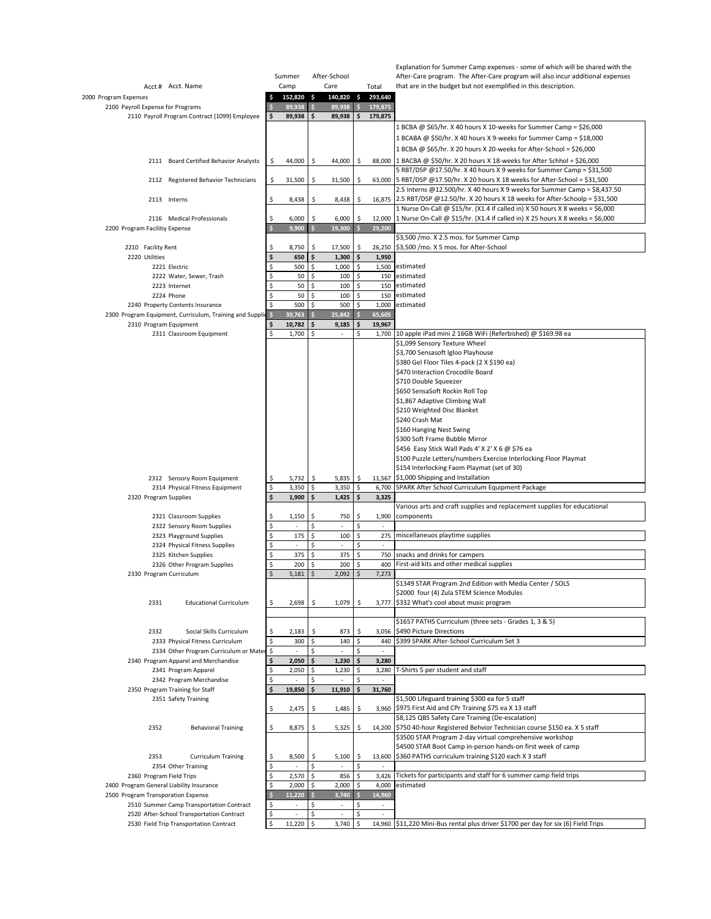|                                                                                    |          |                  |              |                          |                      |                                    | Explanation for Summer Camp expenses - some of which will be shared with the                                         |
|------------------------------------------------------------------------------------|----------|------------------|--------------|--------------------------|----------------------|------------------------------------|----------------------------------------------------------------------------------------------------------------------|
|                                                                                    |          | Summer           | After-School |                          |                      |                                    | After-Care program. The After-Care program will also incur additional expenses                                       |
| Acct # Acct. Name                                                                  |          | Camp             | Care         |                          |                      | Total                              | that are in the budget but not exemplified in this description.                                                      |
| 2000 Program Expenses                                                              |          | 152,820 \$       |              | 140,820                  | $\ddot{\phantom{1}}$ | 293,640                            |                                                                                                                      |
| 2100 Payroll Expense for Programs<br>2110 Payroll Program Contract (1099) Employee |          | 89,938<br>89,938 | \$<br>\$     | 89,938<br>89,938         | Ś<br>\$              | 179,875<br>179,875                 |                                                                                                                      |
|                                                                                    |          |                  |              |                          |                      |                                    | 1 BCBA @ \$65/hr. X 40 hours X 10-weeks for Summer Camp = \$26,000                                                   |
|                                                                                    |          |                  |              |                          |                      |                                    | 1 BCABA @ \$50/hr. X 40 hours X 9-weeks for Summer Camp = \$18,000                                                   |
|                                                                                    |          |                  |              |                          |                      |                                    | 1 BCBA @ \$65/hr. X 20 hours X 20-weeks for After-School = \$26,000                                                  |
|                                                                                    |          |                  |              |                          |                      |                                    | 88,000 1 BACBA @ \$50/hr. X 20 hours X 18-weeks for After Schhol = \$26,000                                          |
| 2111 Board Certified Behavior Analysts                                             | \$       | 44,000           | \$           | 44,000                   | \$                   |                                    | 5 RBT/DSP @17.50/hr. X 40 hours X 9 weeks for Summer Camp = \$31,500                                                 |
| 2112 Registered Behavior Technicians                                               | \$       | 31,500           | \$           | 31,500                   | Ŝ                    |                                    | 63,000 5 RBT/DSP @17.50/hr. X 20 hours X 18 weeks for After-School = \$31,500                                        |
|                                                                                    |          |                  |              |                          |                      |                                    | 2.5 Interns @12.500/hr. X 40 hours X 9 weeks for Summer Camp = \$8,437.50                                            |
| 2113 Interns                                                                       | \$       | 8,438            | \$           | 8,438                    | \$                   |                                    | 16,875 2.5 RBT/DSP @12.50/hr. X 20 hours X 18 weeks for After-Schoolp = \$31,500                                     |
|                                                                                    |          |                  |              |                          |                      |                                    | 1 Nurse On-Call @ \$15/hr. (X1.4 if called in) X 50 hours X 8 weeks = \$6,000                                        |
| 2116 Medical Professionals                                                         | Ś        | 6,000            | \$           | 6,000                    | Ś                    |                                    | 12,000 1 Nurse On-Call @ \$15/hr. (X1.4 if called in) X 25 hours X 8 weeks = \$6,000                                 |
| 2200 Program Facilitiy Expense                                                     |          | 9,900            | $\mathsf{s}$ | 19,300                   |                      | 29,200                             |                                                                                                                      |
| 2210 Facility Rent                                                                 | Ś        | 8,750            | \$           | 17,500                   | \$                   | 26,250                             | \$3,500 /mo. X 2.5 mos. for Summer Camp<br>\$3,500 /mo. X 5 mos. for After-School                                    |
| 2220 Utilities                                                                     | \$       | 650              | \$           | 1,300                    | \$                   | 1,950                              |                                                                                                                      |
| 2221 Electric                                                                      | Ś        | 500              | \$           | 1,000                    | \$                   | 1,500                              | estimated                                                                                                            |
| 2222 Water, Sewer, Trash                                                           |          | 50               | \$           | 100                      | \$                   | 150                                | estimated                                                                                                            |
| 2223 Internet                                                                      | Ś        | 50               | \$           | 100                      | \$                   |                                    | 150 estimated                                                                                                        |
| 2224 Phone                                                                         |          | 50               | \$           | 100                      | \$                   | 150                                | estimated                                                                                                            |
| 2240 Property Contents Insurance                                                   | Ś        | 500              | \$           | 500                      | \$                   | 1,000                              | estimated                                                                                                            |
| 2300 Program Equipment, Curriculum, Training and Supplic                           |          | 39,763           |              | 25,842                   |                      | 65,605                             |                                                                                                                      |
| 2310 Program Equipment                                                             |          | 10,782           | \$           | 9,185                    | \$                   | 19,967                             |                                                                                                                      |
| 2311 Classroom Equipment                                                           |          | 1,700            | \$           | $\sim$                   | \$                   | 1,700                              | 10 apple iPad mini 2 16GB WiFi (Referbished) @ \$169.98 ea<br>\$1,099 Sensory Texture Wheel                          |
|                                                                                    |          |                  |              |                          |                      |                                    | \$3,700 Sensasoft Igloo Playhouse                                                                                    |
|                                                                                    |          |                  |              |                          |                      |                                    | \$380 Gel Floor Tiles 4-pack (2 X \$190 ea)                                                                          |
|                                                                                    |          |                  |              |                          |                      |                                    | \$470 Interaction Crocodile Board                                                                                    |
|                                                                                    |          |                  |              |                          |                      |                                    | \$710 Double Squeezer                                                                                                |
|                                                                                    |          |                  |              |                          |                      |                                    | \$650 SensaSoft Rockin Roll Top                                                                                      |
|                                                                                    |          |                  |              |                          |                      |                                    | \$1,867 Adaptive Climbing Wall                                                                                       |
|                                                                                    |          |                  |              |                          |                      |                                    | \$210 Weighted Disc Blanket                                                                                          |
|                                                                                    |          |                  |              |                          |                      |                                    | \$240 Crash Mat                                                                                                      |
|                                                                                    |          |                  |              |                          |                      |                                    | \$160 Hanging Nest Swing                                                                                             |
|                                                                                    |          |                  |              |                          |                      |                                    | \$300 Soft Frame Bubble Mirror                                                                                       |
|                                                                                    |          |                  |              |                          |                      |                                    | \$456 Easy Stick Wall Pads 4' X 2' X 6 @ \$76 ea<br>\$100 Puzzle Letters/numbers Exercise Interlocking Floor Playmat |
|                                                                                    |          |                  |              |                          |                      |                                    | \$154 Interlocking Faom Playmat (set of 30)                                                                          |
| 2312 Sensory Room Equipment                                                        | \$       | 5,732            | \$           | 5,835                    | \$                   | 11,567                             | \$1,000 Shipping and Installation                                                                                    |
| 2314 Physical Fitness Equipment                                                    | \$       | 3,350            | \$           | 3,350                    | \$                   | 6,700                              | SPARK After School Curriculum Equipment Package                                                                      |
| 2320 Program Supplies                                                              |          | 1,900            | \$           | 1,425                    | Ś                    | 3,325                              |                                                                                                                      |
|                                                                                    |          |                  |              |                          |                      |                                    | Various arts and craft supplies and replacement supplies for educational                                             |
| 2321 Classroom Supplies                                                            | \$       | 1,150            | \$           | 750                      | \$                   | 1,900                              | components                                                                                                           |
| 2322 Sensory Room Supplies                                                         | Ś<br>Ś   | 175              | \$<br>\$     | 100                      | \$<br>\$             |                                    | miscellaneuos playtime supplies                                                                                      |
| 2323 Playground Supplies<br>2324 Physical Fitness Supplies                         | Ś        | $\overline{a}$   | \$           | $\overline{\phantom{a}}$ | \$                   | 275<br>$\overline{\phantom{a}}$    |                                                                                                                      |
| 2325 Kitchen Supplies                                                              |          | 375              | \$           | 375                      | \$                   | 750                                | snacks and drinks for campers                                                                                        |
| 2326 Other Program Supplies                                                        | \$       | 200              | \$           | 200                      | \$                   | 400                                | First-aid kits and other medical supplies                                                                            |
| 2330 Program Curriculum                                                            |          | 5,181            | \$           | 2,092                    | \$                   | 7,273                              |                                                                                                                      |
|                                                                                    |          |                  |              |                          |                      |                                    | \$1349 STAR Program 2nd Edition with Media Center / SOLS                                                             |
|                                                                                    |          |                  |              |                          |                      |                                    | \$2000 four (4) Zula STEM Science Modules                                                                            |
| 2331<br><b>Educational Curriculum</b>                                              | Ś        | 2,698            | \$           | 1,079                    | \$                   |                                    | 3,777 \$332 What's cool about music program                                                                          |
|                                                                                    |          |                  |              |                          |                      |                                    |                                                                                                                      |
|                                                                                    |          |                  |              |                          |                      |                                    | \$1657 PATHS Curriculum (three sets - Grades 1, 3 & 5)                                                               |
| 2332<br>Social Skills Curriculum                                                   | \$       | 2,183            | \$           | 873                      | Ś                    | 3,056                              | \$490 Picture Directions<br>\$399 SPARK After-School Curriculum Set 3                                                |
| 2333 Physical Fitness Curriculum<br>2334 Other Program Curriculum or Mate          | \$<br>\$ | 300<br>$\sim$    | \$<br>\$     | 140<br>$\sim$            | \$<br>\$             | 440<br>$\mathcal{L}_{\mathcal{A}}$ |                                                                                                                      |
| 2340 Program Apparel and Merchandise                                               |          | 2,050            | \$           | 1,230                    | \$                   | 3,280                              |                                                                                                                      |
| 2341 Program Apparel                                                               | \$       | 2,050            | \$           | 1,230                    | \$                   | 3,280                              | T-Shirts 5 per student and staff                                                                                     |
| 2342 Program Merchandise                                                           |          |                  | \$           |                          | \$                   |                                    |                                                                                                                      |
| 2350 Program Training for Staff                                                    |          | 19,850           | \$           | 11,910                   | \$                   | 31,760                             |                                                                                                                      |
| 2351 Safety Training                                                               |          |                  |              |                          |                      |                                    | \$1,500 Lifeguard training \$300 ea for 5 staff                                                                      |
|                                                                                    | \$       | 2,475            | \$           | 1,485                    | \$                   |                                    | 3,960 \$975 First Aid and CPr Training \$75 ea X 13 staff                                                            |
|                                                                                    |          |                  |              |                          |                      |                                    | \$8,125 QBS Safety Care Training (De-escalation)                                                                     |
| 2352<br><b>Behavioral Training</b>                                                 | \$       | 8,875            | \$           | 5,325                    | \$                   |                                    | 14,200 \$750 40-hour Registered Behvior Technician course \$150 ea. X 5 staff                                        |
|                                                                                    |          |                  |              |                          |                      |                                    | \$3500 STAR Program 2-day virtual comprehensive workshop                                                             |
|                                                                                    |          |                  |              |                          |                      |                                    | \$4500 STAR Boot Camp in-person hands-on first week of camp                                                          |
| 2353<br><b>Curriculum Training</b><br>2354 Other Training                          | Ś        | 8,500            | \$<br>\$     | 5,100                    | \$<br>\$             |                                    | 13,600 \$360 PATHS curriculum training \$120 each X 3 staff                                                          |
| 2360 Program Field Trips                                                           | Ś        | 2,570            | \$           | 856                      | \$                   | 3,426                              | Tickets for participants and staff for 6 summer camp field trips                                                     |
| 2400 Program General Liability Insurance                                           | \$       | 2,000            | \$           | 2,000                    | \$                   | 4,000                              | estimated                                                                                                            |
| 2500 Program Transporation Expense                                                 |          | 11,220           |              | 3,740                    |                      | 14,960                             |                                                                                                                      |
| 2510 Summer Camp Transportation Contract                                           |          |                  | \$           |                          | \$                   | $\overline{\phantom{a}}$           |                                                                                                                      |
| 2520 After-School Transportation Contract                                          | \$       |                  | \$           | ÷,                       | \$                   |                                    |                                                                                                                      |
| 2530 Field Trip Transportation Contract                                            | Ś        | 11,220           | \$           | 3,740                    | \$                   |                                    | 14,960 \$11,220 Mini-Bus rental plus driver \$1700 per day for six (6) Field Trips                                   |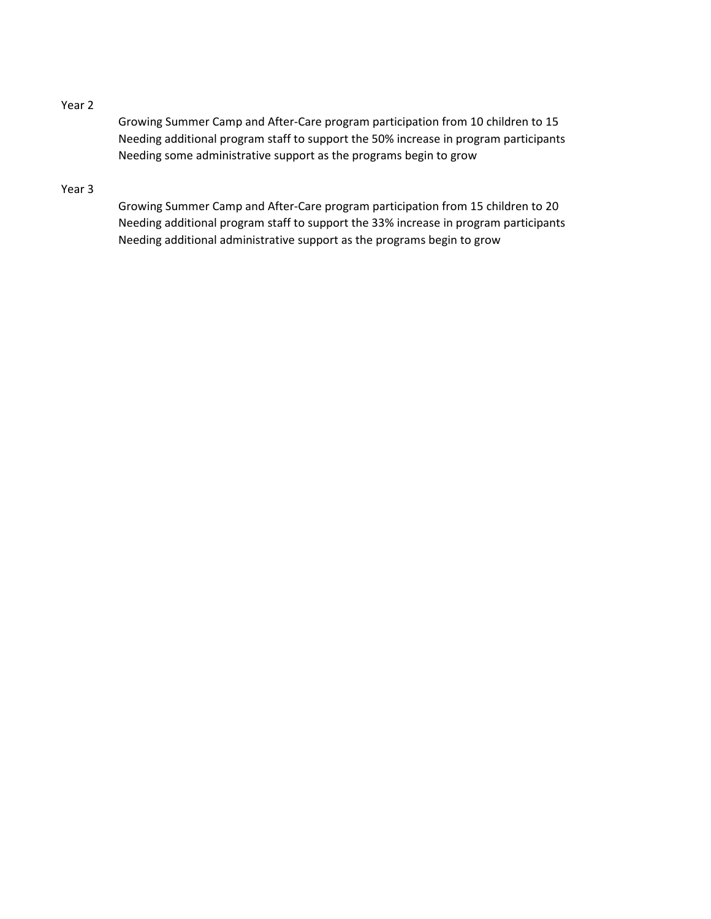## Year 2

Growing Summer Camp and After-Care program participation from 10 children to 15 Needing additional program staff to support the 50% increase in program participants Needing some administrative support as the programs begin to grow

## Year 3

Growing Summer Camp and After-Care program participation from 15 children to 20 Needing additional program staff to support the 33% increase in program participants Needing additional administrative support as the programs begin to grow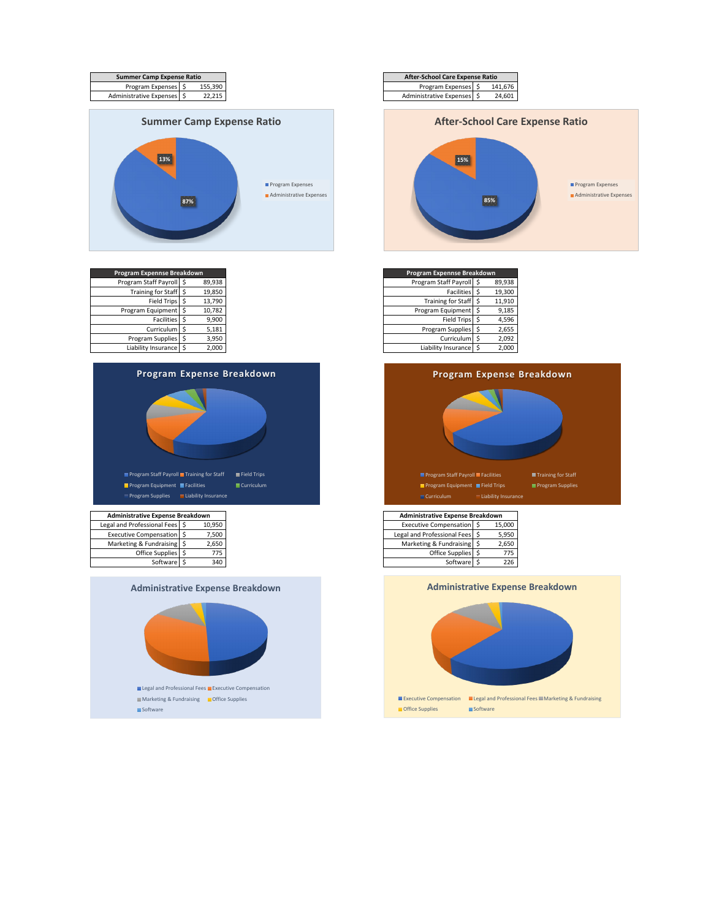

| Program Expennse Breakdown |    |        |
|----------------------------|----|--------|
| Program Staff Payroll \$   |    | 89,938 |
| <b>Training for Staff</b>  | \$ | 19,850 |
| <b>Field Trips</b>         | .s | 13,790 |
| Program Equipment          | Ś  | 10,782 |
| Facilities                 | .S | 9,900  |
| Curriculum                 | \$ | 5,181  |
| Program Supplies           | \$ | 3,950  |
| Liability Insurance        | \$ | 2.000  |



| <b>Administrative Expense Breakdown</b> |   |        |
|-----------------------------------------|---|--------|
| Legal and Professional Fees             | Ś | 10.950 |
| Executive Compensation \$               |   | 7,500  |
| Marketing & Fundraising \$              |   | 2,650  |
| Office Supplies \$                      |   | 775    |
| Software                                |   |        |





| rogram Expennse Breakdown |        | Program Expennse Breakdown |  |
|---------------------------|--------|----------------------------|--|
| Program Staff Payroll \$  | 89.938 | Program Staff Payroll      |  |
| Training for Staff \$     | 19,850 | Facilities                 |  |
| Field Trips \$            | 13,790 | <b>Training for Staff</b>  |  |
| Program Equipment         | 10,782 | Program Equipment          |  |
| Facilities S              | 9,900  | <b>Field Trips</b>         |  |
| Curriculum                | 5,181  | Program Supplies           |  |
| Program Supplies \$       | 3,950  | Curriculum                 |  |
| Liability Insurance       | 2,000  | Liability Insurance        |  |



| Administrative Expense Breakdown   |        | Administrative Expense Breakdown |        |
|------------------------------------|--------|----------------------------------|--------|
| Legal and Professional Fees        | 10,950 | <b>Executive Compensation</b> :  | 15,000 |
| Executive Compensation \$          | 7.500  | Legal and Professional Fees      |        |
| Marketing & Fundraising S<br>2.650 |        | Marketing & Fundraising S        | 2.650  |
| 775<br>Office Supplies             |        | Office Supplies                  |        |
| 340<br>Software \$                 |        | Software \$                      |        |